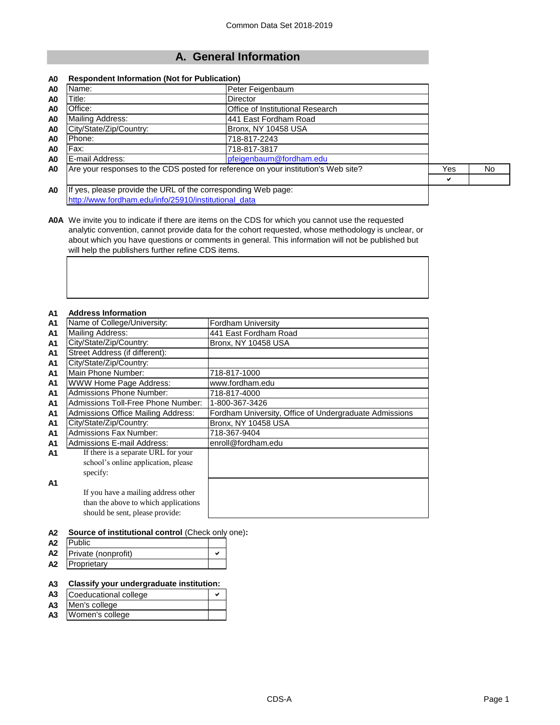# **A. General Information**

#### **A0 Respondent Information (Not for Publication)**

| A0             | Name:                                                                              | Peter Feigenbaum                 |     |    |
|----------------|------------------------------------------------------------------------------------|----------------------------------|-----|----|
| A <sub>0</sub> | Title:                                                                             | Director                         |     |    |
| A <sub>0</sub> | Office:                                                                            | Office of Institutional Research |     |    |
| A <sub>0</sub> | Mailing Address:                                                                   | 441 East Fordham Road            |     |    |
| A <sub>0</sub> | City/State/Zip/Country:                                                            | Bronx, NY 10458 USA              |     |    |
| A <sub>0</sub> | Phone:                                                                             | 718-817-2243                     |     |    |
| A <sub>0</sub> | Fax:                                                                               | 718-817-3817                     |     |    |
| A <sub>0</sub> | E-mail Address:                                                                    | pfeigenbaum@fordham.edu          |     |    |
| A <sub>0</sub> | Are your responses to the CDS posted for reference on your institution's Web site? |                                  | Yes | No |
|                |                                                                                    |                                  | ✔   |    |
| A <sub>0</sub> | If yes, please provide the URL of the corresponding Web page:                      |                                  |     |    |

[http://www.fordham.edu/info/25910/inst](http://www.fordham.edu/info/25910/institutional_data)itutional\_data

**A0A** We invite you to indicate if there are items on the CDS for which you cannot use the requested analytic convention, cannot provide data for the cohort requested, whose methodology is unclear, or about which you have questions or comments in general. This information will not be published but will help the publishers further refine CDS items.

#### **A1 Address Information**

| A I            | AUULESS IIIIUI IIIAUUII              |                                                        |
|----------------|--------------------------------------|--------------------------------------------------------|
| A1             | Name of College/University:          | <b>Fordham University</b>                              |
| A1             | Mailing Address:                     | 441 East Fordham Road                                  |
| A1             | City/State/Zip/Country:              | <b>Bronx, NY 10458 USA</b>                             |
| A1             | Street Address (if different):       |                                                        |
| A1             | City/State/Zip/Country:              |                                                        |
| A1             | Main Phone Number:                   | 718-817-1000                                           |
| A1             | WWW Home Page Address:               | www.fordham.edu                                        |
| A1             | <b>Admissions Phone Number:</b>      | 718-817-4000                                           |
| A1             | Admissions Toll-Free Phone Number:   | 1-800-367-3426                                         |
| A1             | Admissions Office Mailing Address:   | Fordham University, Office of Undergraduate Admissions |
| A1             | City/State/Zip/Country:              | Bronx, NY 10458 USA                                    |
| A1             | <b>Admissions Fax Number:</b>        | 718-367-9404                                           |
| A1             | <b>Admissions E-mail Address:</b>    | enroll@fordham.edu                                     |
| A1             | If there is a separate URL for your  |                                                        |
|                | school's online application, please  |                                                        |
|                | specify:                             |                                                        |
| A <sub>1</sub> |                                      |                                                        |
|                | If you have a mailing address other  |                                                        |
|                | than the above to which applications |                                                        |
|                | should be sent, please provide:      |                                                        |

#### **A2 Source of institutional control** (Check only one)**:**

| A2             | <b>IPublic</b>      |  |
|----------------|---------------------|--|
| A <sub>2</sub> | Private (nonprofit) |  |
| A <sub>2</sub> | Proprietary         |  |

#### **A3 Classify your undergraduate institution:**

| A <sub>3</sub> | Coeducational college |  |  |
|----------------|-----------------------|--|--|
|                | A3 Men's college      |  |  |

**A3** Women's college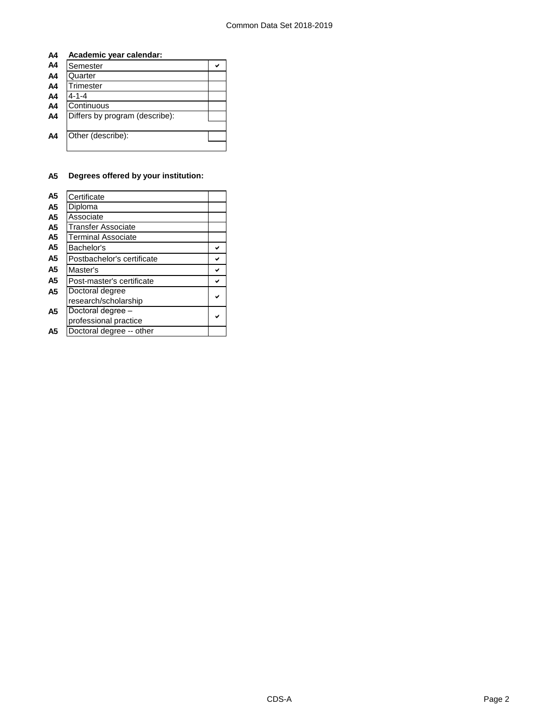#### **A4 Academic year calendar:**

| A4             | Semester                       |  |
|----------------|--------------------------------|--|
| A <sub>4</sub> | Quarter                        |  |
| A4             | Trimester                      |  |
| A4             | 4-1-4                          |  |
| A4             | Continuous                     |  |
| A <sub>4</sub> | Differs by program (describe): |  |
|                |                                |  |
| A <sub>4</sub> | Other (describe):              |  |
|                |                                |  |

#### **A5 Degrees offered by your institution:**

| A5             | Certificate                |  |
|----------------|----------------------------|--|
| A5             | Diploma                    |  |
| A5             | Associate                  |  |
| A5             | Transfer Associate         |  |
| A5             | Terminal Associate         |  |
| A5             | Bachelor's                 |  |
| A5             | Postbachelor's certificate |  |
| A5             | Master's                   |  |
| A5             | Post-master's certificate  |  |
| A <sub>5</sub> | Doctoral degree            |  |
|                | research/scholarship       |  |
| A <sub>5</sub> | Doctoral degree -          |  |
|                | professional practice      |  |
| A5             | Doctoral degree -- other   |  |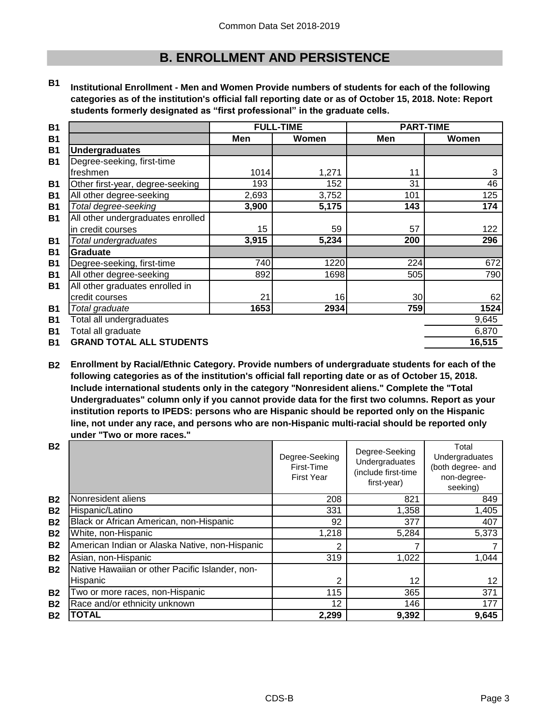# **B. ENROLLMENT AND PERSISTENCE**

**B1 Institutional Enrollment - Men and Women Provide numbers of students for each of the following categories as of the institution's official fall reporting date or as of October 15, 2018. Note: Report students formerly designated as "first professional" in the graduate cells.**

| <b>B1</b> |                                   | <b>FULL-TIME</b> |       | <b>PART-TIME</b> |        |
|-----------|-----------------------------------|------------------|-------|------------------|--------|
| <b>B1</b> |                                   | Men              | Women | Men              | Women  |
| <b>B1</b> | <b>Undergraduates</b>             |                  |       |                  |        |
| <b>B1</b> | Degree-seeking, first-time        |                  |       |                  |        |
|           | freshmen                          | 1014             | 1,271 | 11               | 3      |
| <b>B1</b> | Other first-year, degree-seeking  | 193              | 152   | 31               | 46     |
| <b>B1</b> | All other degree-seeking          | 2,693            | 3,752 | 101              | 125    |
| <b>B1</b> | Total degree-seeking              | 3,900            | 5,175 | 143              | 174    |
| <b>B1</b> | All other undergraduates enrolled |                  |       |                  |        |
|           | in credit courses                 | 15               | 59    | 57               | 122    |
| <b>B1</b> | Total undergraduates              | 3,915            | 5,234 | 200              | 296    |
| <b>B1</b> | <b>Graduate</b>                   |                  |       |                  |        |
| <b>B1</b> | Degree-seeking, first-time        | 740              | 1220  | 224              | 672    |
| <b>B1</b> | All other degree-seeking          | 892              | 1698  | 505              | 790    |
| <b>B1</b> | All other graduates enrolled in   |                  |       |                  |        |
|           | credit courses                    | 21               | 16    | 30               | 62     |
| <b>B1</b> | Total graduate                    | 1653             | 2934  | 759              | 1524   |
| <b>B1</b> | Total all undergraduates          |                  |       |                  | 9,645  |
| <b>B1</b> | Total all graduate                |                  |       |                  | 6,870  |
| <b>B1</b> | <b>GRAND TOTAL ALL STUDENTS</b>   |                  |       |                  | 16,515 |

**B2 Enrollment by Racial/Ethnic Category. Provide numbers of undergraduate students for each of the following categories as of the institution's official fall reporting date or as of October 15, 2018. Include international students only in the category "Nonresident aliens." Complete the "Total Undergraduates" column only if you cannot provide data for the first two columns. Report as your institution reports to IPEDS: persons who are Hispanic should be reported only on the Hispanic line, not under any race, and persons who are non-Hispanic multi-racial should be reported only under "Two or more races."** 

| <b>B2</b>      |                                                 | Degree-Seeking<br>First-Time<br><b>First Year</b> | Degree-Seeking<br>Undergraduates<br>(include first-time<br>first-year) | Total<br>Undergraduates<br>(both degree- and<br>non-degree-<br>seeking) |
|----------------|-------------------------------------------------|---------------------------------------------------|------------------------------------------------------------------------|-------------------------------------------------------------------------|
| <b>B2</b>      | Nonresident aliens                              | 208                                               | 821                                                                    | 849                                                                     |
| <b>B2</b>      | Hispanic/Latino                                 | 331                                               | 1,358                                                                  | 1,405                                                                   |
| <b>B2</b>      | Black or African American, non-Hispanic         | 92                                                | 377                                                                    | 407                                                                     |
| <b>B2</b>      | White, non-Hispanic                             | 1,218                                             | 5,284                                                                  | 5,373                                                                   |
| <b>B2</b>      | American Indian or Alaska Native, non-Hispanic  | 2                                                 |                                                                        |                                                                         |
| <b>B2</b>      | Asian, non-Hispanic                             | 319                                               | 1,022                                                                  | 1,044                                                                   |
| <b>B2</b>      | Native Hawaiian or other Pacific Islander, non- |                                                   |                                                                        |                                                                         |
|                | Hispanic                                        | 2                                                 | 12                                                                     | 12                                                                      |
| <b>B2</b>      | Two or more races, non-Hispanic                 | 115                                               | 365                                                                    | 371                                                                     |
| <b>B2</b>      | Race and/or ethnicity unknown                   | 12                                                | 146                                                                    | 177                                                                     |
| B <sub>2</sub> | <b>TOTAL</b>                                    | 2,299                                             | 9,392                                                                  | 9,645                                                                   |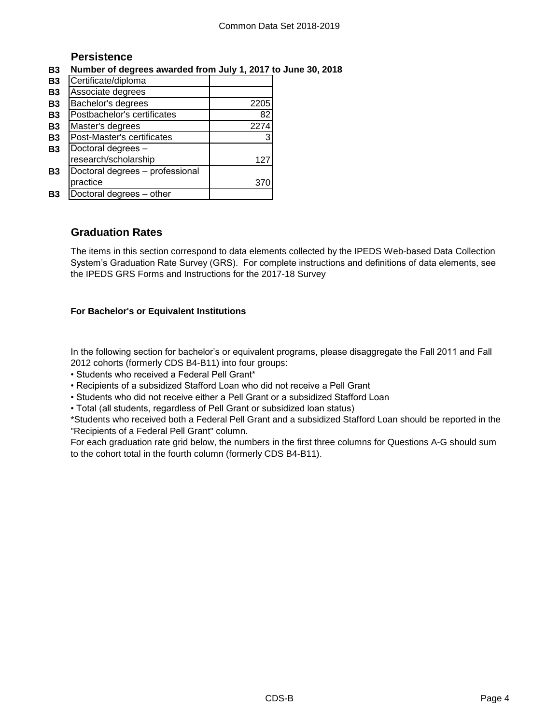# **Persistence**

# **B3 Number of degrees awarded from July 1, 2017 to June 30, 2018**

| <b>B3</b> | Certificate/diploma             |      |
|-----------|---------------------------------|------|
| <b>B3</b> | Associate degrees               |      |
| <b>B3</b> | Bachelor's degrees              | 2205 |
| <b>B3</b> | Postbachelor's certificates     | 82   |
| <b>B3</b> | Master's degrees                | 2274 |
| <b>B3</b> | Post-Master's certificates      | 3    |
| <b>B3</b> | Doctoral degrees -              |      |
|           | research/scholarship            | 12.  |
| <b>B3</b> | Doctoral degrees - professional |      |
|           | practice                        |      |
| Β3        | Doctoral degrees - other        |      |

# **Graduation Rates**

The items in this section correspond to data elements collected by the IPEDS Web-based Data Collection System's Graduation Rate Survey (GRS). For complete instructions and definitions of data elements, see the IPEDS GRS Forms and Instructions for the 2017-18 Survey

## **For Bachelor's or Equivalent Institutions**

In the following section for bachelor's or equivalent programs, please disaggregate the Fall 2011 and Fall 2012 cohorts (formerly CDS B4-B11) into four groups:

• Students who received a Federal Pell Grant\*

• Recipients of a subsidized Stafford Loan who did not receive a Pell Grant

• Students who did not receive either a Pell Grant or a subsidized Stafford Loan

• Total (all students, regardless of Pell Grant or subsidized loan status)

\*Students who received both a Federal Pell Grant and a subsidized Stafford Loan should be reported in the "Recipients of a Federal Pell Grant" column.

For each graduation rate grid below, the numbers in the first three columns for Questions A-G should sum to the cohort total in the fourth column (formerly CDS B4-B11).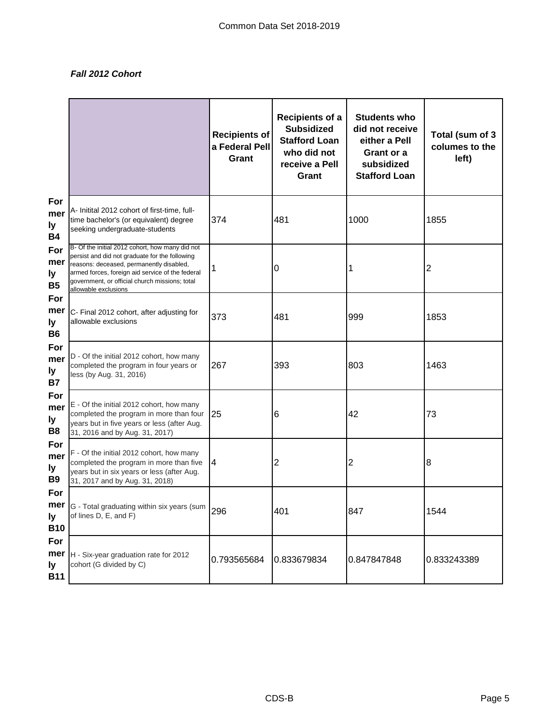# *Fall 2012 Cohort*

|                                    |                                                                                                                                                                                                                                                                             | <b>Recipients of</b><br>a Federal Pell<br>Grant | <b>Recipients of a</b><br><b>Subsidized</b><br><b>Stafford Loan</b><br>who did not<br>receive a Pell<br>Grant | <b>Students who</b><br>did not receive<br>either a Pell<br>Grant or a<br>subsidized<br><b>Stafford Loan</b> | Total (sum of 3<br>columes to the<br>left) |
|------------------------------------|-----------------------------------------------------------------------------------------------------------------------------------------------------------------------------------------------------------------------------------------------------------------------------|-------------------------------------------------|---------------------------------------------------------------------------------------------------------------|-------------------------------------------------------------------------------------------------------------|--------------------------------------------|
| For<br>mer<br>ly<br><b>B4</b>      | A- Initital 2012 cohort of first-time, full-<br>time bachelor's (or equivalent) degree<br>seeking undergraduate-students                                                                                                                                                    | 374                                             | 481                                                                                                           | 1000                                                                                                        | 1855                                       |
| For<br>mer<br>ly<br><b>B5</b>      | B- Of the initial 2012 cohort, how many did not<br>persist and did not graduate for the following<br>reasons: deceased, permanently disabled,<br>armed forces, foreign aid service of the federal<br>government, or official church missions; total<br>allowable exclusions | 1                                               | 0                                                                                                             | 1                                                                                                           | 2                                          |
| For<br>mer<br>ly<br><b>B6</b>      | C- Final 2012 cohort, after adjusting for<br>allowable exclusions                                                                                                                                                                                                           | 373                                             | 481                                                                                                           | 999                                                                                                         | 1853                                       |
| For<br>mer<br>ly<br><b>B7</b>      | D - Of the initial 2012 cohort, how many<br>completed the program in four years or<br>less (by Aug. 31, 2016)                                                                                                                                                               | 267                                             | 393                                                                                                           | 803                                                                                                         | 1463                                       |
| For<br>mer<br>ly<br>B <sub>8</sub> | E - Of the initial 2012 cohort, how many<br>completed the program in more than four<br>years but in five years or less (after Aug.<br>31, 2016 and by Aug. 31, 2017)                                                                                                        | 25                                              | 6                                                                                                             | 42                                                                                                          | 73                                         |
| For<br>mer<br>ly<br><b>B9</b>      | F - Of the initial 2012 cohort, how many<br>completed the program in more than five<br>years but in six years or less (after Aug.<br>31, 2017 and by Aug. 31, 2018)                                                                                                         | 4                                               | 2                                                                                                             | $\overline{2}$                                                                                              | 8                                          |
| For<br>ly<br><b>B10</b>            | <b>mer</b> G - Total graduating within six years (sum<br>of lines D, E, and F)                                                                                                                                                                                              | 296                                             | 401                                                                                                           | 847                                                                                                         | 1544                                       |
| For<br>ly.<br><b>B11</b>           | <b>mer</b>  H - Six-year graduation rate for 2012<br>cohort (G divided by C)                                                                                                                                                                                                | 0.793565684                                     | 0.833679834                                                                                                   | 0.847847848                                                                                                 | 0.833243389                                |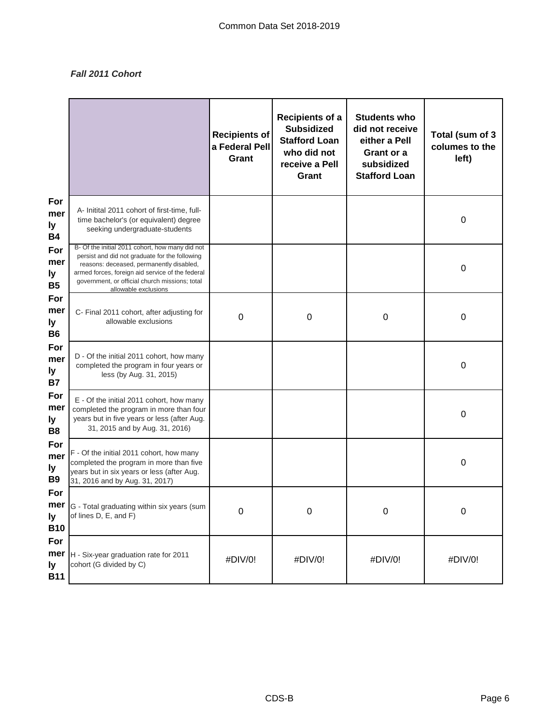## *Fall 2011 Cohort*

|                                    |                                                                                                                                                                                                                                                                             | <b>Recipients of</b><br>a Federal Pell<br>Grant | <b>Recipients of a</b><br><b>Subsidized</b><br><b>Stafford Loan</b><br>who did not<br>receive a Pell<br>Grant | <b>Students who</b><br>did not receive<br>either a Pell<br>Grant or a<br>subsidized<br><b>Stafford Loan</b> | Total (sum of 3<br>columes to the<br>left) |
|------------------------------------|-----------------------------------------------------------------------------------------------------------------------------------------------------------------------------------------------------------------------------------------------------------------------------|-------------------------------------------------|---------------------------------------------------------------------------------------------------------------|-------------------------------------------------------------------------------------------------------------|--------------------------------------------|
| For<br>mer<br>ly<br><b>B4</b>      | A- Initital 2011 cohort of first-time, full-<br>time bachelor's (or equivalent) degree<br>seeking undergraduate-students                                                                                                                                                    |                                                 |                                                                                                               |                                                                                                             | 0                                          |
| For<br>mer<br>ly<br><b>B5</b>      | B- Of the initial 2011 cohort, how many did not<br>persist and did not graduate for the following<br>reasons: deceased, permanently disabled,<br>armed forces, foreign aid service of the federal<br>government, or official church missions; total<br>allowable exclusions |                                                 |                                                                                                               |                                                                                                             | $\boldsymbol{0}$                           |
| For<br>mer<br>ly<br><b>B6</b>      | C- Final 2011 cohort, after adjusting for<br>allowable exclusions                                                                                                                                                                                                           | $\mathbf 0$                                     | $\mathbf 0$                                                                                                   | $\boldsymbol{0}$                                                                                            | 0                                          |
| For<br>mer<br>ly<br><b>B7</b>      | D - Of the initial 2011 cohort, how many<br>completed the program in four years or<br>less (by Aug. 31, 2015)                                                                                                                                                               |                                                 |                                                                                                               |                                                                                                             | $\boldsymbol{0}$                           |
| For<br>mer<br>ly<br>B <sub>8</sub> | E - Of the initial 2011 cohort, how many<br>completed the program in more than four<br>years but in five years or less (after Aug.<br>31, 2015 and by Aug. 31, 2016)                                                                                                        |                                                 |                                                                                                               |                                                                                                             | $\boldsymbol{0}$                           |
| For<br>mer<br>ly<br><b>B9</b>      | F - Of the initial 2011 cohort, how many<br>completed the program in more than five<br>years but in six years or less (after Aug.<br>31, 2016 and by Aug. 31, 2017)                                                                                                         |                                                 |                                                                                                               |                                                                                                             | 0                                          |
| For<br>ly<br><b>B10</b>            | <b>mer</b> G - Total graduating within six years (sum<br>of lines D, E, and F)                                                                                                                                                                                              | O                                               | $\cup$                                                                                                        | O                                                                                                           | O                                          |
| For<br>mer<br>ly<br><b>B11</b>     | H - Six-year graduation rate for 2011<br>cohort (G divided by C)                                                                                                                                                                                                            | #DIV/0!                                         | #DIV/0!                                                                                                       | #DIV/0!                                                                                                     | #DIV/0!                                    |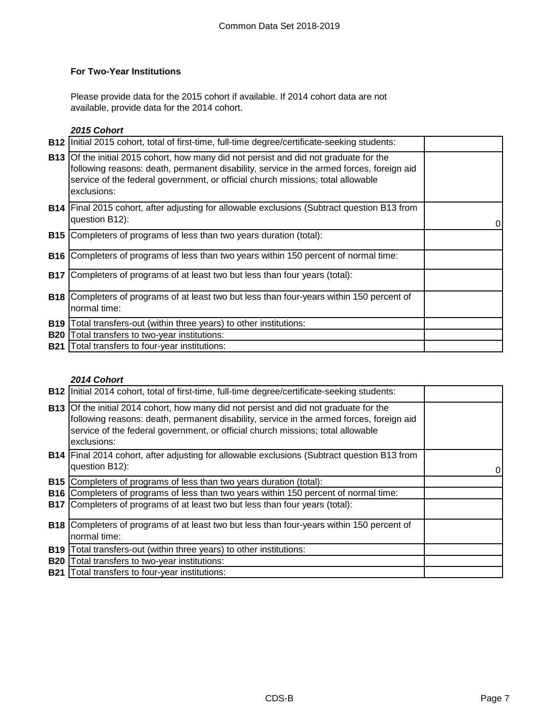# **For Two-Year Institutions**

Please provide data for the 2015 cohort if available. If 2014 cohort data are not available, provide data for the 2014 cohort.

# *2015 Cohort*

|            | B12   Initial 2015 cohort, total of first-time, full-time degree/certificate-seeking students:                                                                                                                                                                                             |  |
|------------|--------------------------------------------------------------------------------------------------------------------------------------------------------------------------------------------------------------------------------------------------------------------------------------------|--|
|            | <b>B13</b> Of the initial 2015 cohort, how many did not persist and did not graduate for the<br>following reasons: death, permanent disability, service in the armed forces, foreign aid<br>service of the federal government, or official church missions; total allowable<br>exclusions: |  |
|            | <b>B14</b> Final 2015 cohort, after adjusting for allowable exclusions (Subtract question B13 from<br>question B12):                                                                                                                                                                       |  |
|            | <b>B15</b> Completers of programs of less than two years duration (total):                                                                                                                                                                                                                 |  |
|            | <b>B16</b> Completers of programs of less than two years within 150 percent of normal time:                                                                                                                                                                                                |  |
|            | <b>B17</b> Completers of programs of at least two but less than four years (total):                                                                                                                                                                                                        |  |
|            | <b>B18</b> Completers of programs of at least two but less than four-years within 150 percent of<br>normal time:                                                                                                                                                                           |  |
| <b>B19</b> | Total transfers-out (within three years) to other institutions:                                                                                                                                                                                                                            |  |
| <b>B20</b> | Total transfers to two-year institutions:                                                                                                                                                                                                                                                  |  |
| <b>B21</b> | Total transfers to four-year institutions:                                                                                                                                                                                                                                                 |  |

## *2014 Cohort*

|            | <b>B12</b> Initial 2014 cohort, total of first-time, full-time degree/certificate-seeking students:                                                                                                                                                                                        |  |
|------------|--------------------------------------------------------------------------------------------------------------------------------------------------------------------------------------------------------------------------------------------------------------------------------------------|--|
|            | <b>B13</b> Of the initial 2014 cohort, how many did not persist and did not graduate for the<br>following reasons: death, permanent disability, service in the armed forces, foreign aid<br>service of the federal government, or official church missions; total allowable<br>exclusions: |  |
|            | <b>B14</b> Final 2014 cohort, after adjusting for allowable exclusions (Subtract question B13 from<br>question B12):                                                                                                                                                                       |  |
| <b>B15</b> | Completers of programs of less than two years duration (total):                                                                                                                                                                                                                            |  |
| <b>B16</b> | Completers of programs of less than two years within 150 percent of normal time:                                                                                                                                                                                                           |  |
| <b>B17</b> | Completers of programs of at least two but less than four years (total):                                                                                                                                                                                                                   |  |
|            | <b>B18</b> Completers of programs of at least two but less than four-years within 150 percent of                                                                                                                                                                                           |  |
|            | normal time:                                                                                                                                                                                                                                                                               |  |
| <b>B19</b> | Total transfers-out (within three years) to other institutions:                                                                                                                                                                                                                            |  |
| <b>B20</b> | Total transfers to two-year institutions:                                                                                                                                                                                                                                                  |  |
| <b>B21</b> | Total transfers to four-year institutions:                                                                                                                                                                                                                                                 |  |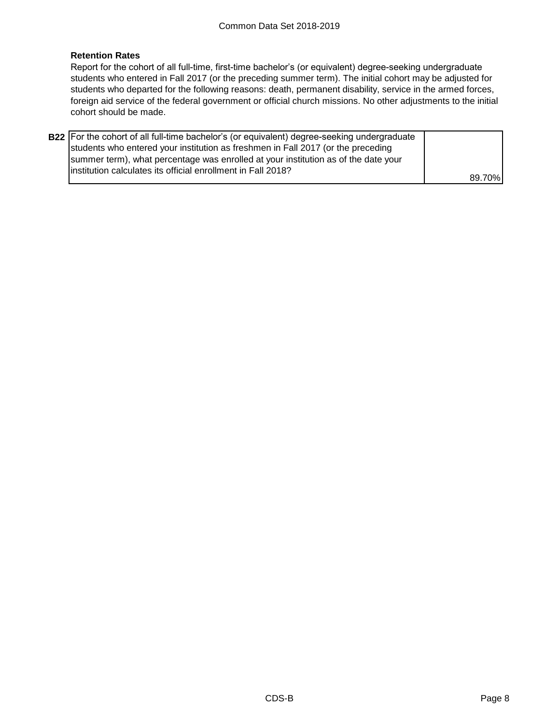## **Retention Rates**

Report for the cohort of all full-time, first-time bachelor's (or equivalent) degree-seeking undergraduate students who entered in Fall 2017 (or the preceding summer term). The initial cohort may be adjusted for students who departed for the following reasons: death, permanent disability, service in the armed forces, foreign aid service of the federal government or official church missions. No other adjustments to the initial cohort should be made.

| <b>B22</b> For the cohort of all full-time bachelor's (or equivalent) degree-seeking undergraduate |        |
|----------------------------------------------------------------------------------------------------|--------|
| students who entered your institution as freshmen in Fall 2017 (or the preceding                   |        |
| summer term), what percentage was enrolled at your institution as of the date your                 |        |
| linstitution calculates its official enrollment in Fall 2018?                                      |        |
|                                                                                                    | 89.70% |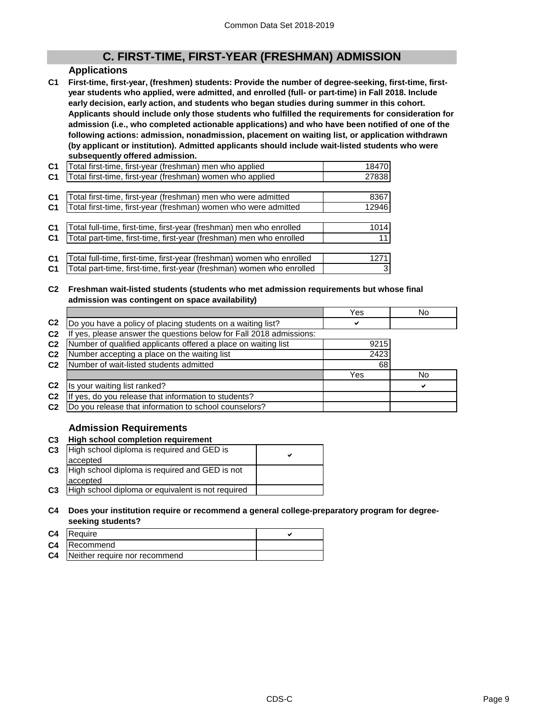# **C. FIRST-TIME, FIRST-YEAR (FRESHMAN) ADMISSION**

#### **Applications**

**C1 First-time, first-year, (freshmen) students: Provide the number of degree-seeking, first-time, firstyear students who applied, were admitted, and enrolled (full- or part-time) in Fall 2018. Include early decision, early action, and students who began studies during summer in this cohort. Applicants should include only those students who fulfilled the requirements for consideration for admission (i.e., who completed actionable applications) and who have been notified of one of the following actions: admission, nonadmission, placement on waiting list, or application withdrawn (by applicant or institution). Admitted applicants should include wait-listed students who were subsequently offered admission.**

| C <sub>1</sub> | Total first-time, first-year (freshman) men who applied               | 18470 |
|----------------|-----------------------------------------------------------------------|-------|
| C <sub>1</sub> | Total first-time, first-year (freshman) women who applied             | 27838 |
|                |                                                                       |       |
| C <sub>1</sub> | Total first-time, first-year (freshman) men who were admitted         | 8367  |
| C <sub>1</sub> | Total first-time, first-year (freshman) women who were admitted       | 12946 |
|                |                                                                       |       |
| C <sub>1</sub> | Total full-time, first-time, first-year (freshman) men who enrolled   | 1014  |
| C <sub>1</sub> | Total part-time, first-time, first-year (freshman) men who enrolled   | 11    |
|                |                                                                       |       |
| C <sub>1</sub> | Total full-time, first-time, first-year (freshman) women who enrolled | 1271  |
| <b>C1</b>      | Total part-time, first-time, first-year (freshman) women who enrolled | 3     |
|                |                                                                       |       |

#### **C2 Freshman wait-listed students (students who met admission requirements but whose final admission was contingent on space availability)**

|                |                                                                  | Yes  | No |
|----------------|------------------------------------------------------------------|------|----|
| C <sub>2</sub> | Do you have a policy of placing students on a waiting list?      | ✓    |    |
| C <sub>2</sub> | yes, please answer the questions below for Fall 2018 admissions: |      |    |
| C <sub>2</sub> | Number of qualified applicants offered a place on waiting list   | 9215 |    |
| C <sub>2</sub> | Number accepting a place on the waiting list                     | 2423 |    |
| C <sub>2</sub> | Number of wait-listed students admitted                          | 68   |    |
|                |                                                                  | Yes  | No |
| C <sub>2</sub> | Is your waiting list ranked?                                     |      | ✔  |
| C <sub>2</sub> | yes, do you release that information to students?                |      |    |
| C <sub>2</sub> | Do you release that information to school counselors?            |      |    |

## **Admission Requirements**

#### **C3 High school completion requirement**

| C <sub>3</sub> | High school diploma is required and GED is        |  |  |
|----------------|---------------------------------------------------|--|--|
|                | accepted                                          |  |  |
| C <sub>3</sub> | High school diploma is required and GED is not    |  |  |
|                | accepted                                          |  |  |
| C <sub>3</sub> | High school diploma or equivalent is not required |  |  |

#### **C4 Does your institution require or recommend a general college-preparatory program for degreeseeking students?**

| C4 Require                              |  |
|-----------------------------------------|--|
| <b>C4</b> Recommend                     |  |
| <b>C4</b> Neither require nor recommend |  |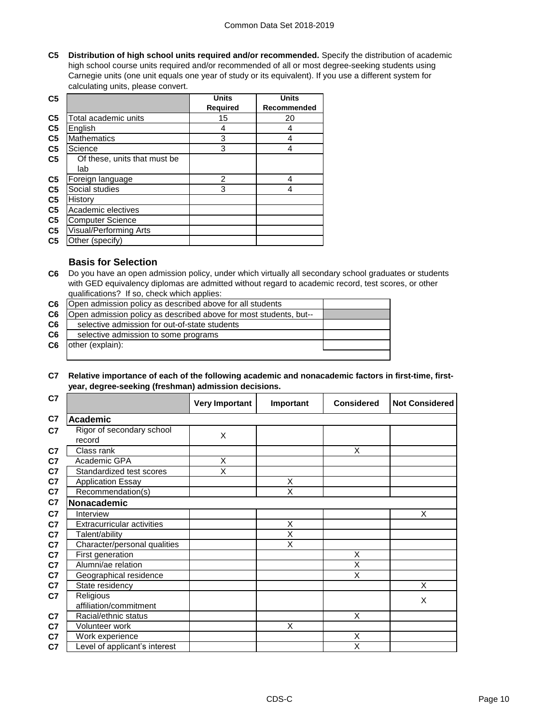**C5 Distribution of high school units required and/or recommended.** Specify the distribution of academic high school course units required and/or recommended of all or most degree-seeking students using Carnegie units (one unit equals one year of study or its equivalent). If you use a different system for calculating units, please convert.

| C <sub>5</sub> |                              | <b>Units</b>    | <b>Units</b> |
|----------------|------------------------------|-----------------|--------------|
|                |                              | <b>Required</b> | Recommended  |
| C <sub>5</sub> | Total academic units         | 15              | 20           |
| C <sub>5</sub> | English                      | 4               | 4            |
| C <sub>5</sub> | <b>Mathematics</b>           | 3               | 4            |
| C <sub>5</sub> | Science                      | 3               | 4            |
| C <sub>5</sub> | Of these, units that must be |                 |              |
|                | lab                          |                 |              |
| C <sub>5</sub> | Foreign language             | 2               | 4            |
| C <sub>5</sub> | Social studies               | 3               | 4            |
| C <sub>5</sub> | History                      |                 |              |
| C <sub>5</sub> | Academic electives           |                 |              |
| C <sub>5</sub> | <b>Computer Science</b>      |                 |              |
| C <sub>5</sub> | Visual/Performing Arts       |                 |              |
| C <sub>5</sub> | Other (specify)              |                 |              |

## **Basis for Selection**

**C6** Do you have an open admission policy, under which virtually all secondary school graduates or students with GED equivalency diplomas are admitted without regard to academic record, test scores, or other qualifications? If so, check which applies:

| C6 | Open admission policy as described above for all students         |  |
|----|-------------------------------------------------------------------|--|
| C6 | Open admission policy as described above for most students, but-- |  |
| C6 | selective admission for out-of-state students                     |  |
| C6 | selective admission to some programs                              |  |
| C6 | other (explain):                                                  |  |
|    |                                                                   |  |

**C7 Relative importance of each of the following academic and nonacademic factors in first-time, firstyear, degree-seeking (freshman) admission decisions.**

| C7 |                                     | <b>Very Important</b> | Important | <b>Considered</b>       | <b>Not Considered</b> |
|----|-------------------------------------|-----------------------|-----------|-------------------------|-----------------------|
| C7 | <b>Academic</b>                     |                       |           |                         |                       |
| C7 | Rigor of secondary school<br>record | X                     |           |                         |                       |
| C7 | Class rank                          |                       |           | X                       |                       |
| C7 | Academic GPA                        | X                     |           |                         |                       |
| C7 | Standardized test scores            | Χ                     |           |                         |                       |
| C7 | <b>Application Essay</b>            |                       | X         |                         |                       |
| C7 | Recommendation(s)                   |                       | X         |                         |                       |
| C7 | Nonacademic                         |                       |           |                         |                       |
| C7 | Interview                           |                       |           |                         | X                     |
| C7 | <b>Extracurricular activities</b>   |                       | X         |                         |                       |
| C7 | Talent/ability                      |                       | X         |                         |                       |
| C7 | Character/personal qualities        |                       | Χ         |                         |                       |
| C7 | First generation                    |                       |           | X                       |                       |
| C7 | Alumni/ae relation                  |                       |           | $\overline{\mathsf{x}}$ |                       |
| C7 | Geographical residence              |                       |           | X                       |                       |
| C7 | State residency                     |                       |           |                         | X                     |
| C7 | Religious                           |                       |           |                         | Χ                     |
|    | affiliation/commitment              |                       |           |                         |                       |
| C7 | Racial/ethnic status                |                       |           | X                       |                       |
| C7 | Volunteer work                      |                       | X         |                         |                       |
| C7 | Work experience                     |                       |           | X                       |                       |
| C7 | Level of applicant's interest       |                       |           | X                       |                       |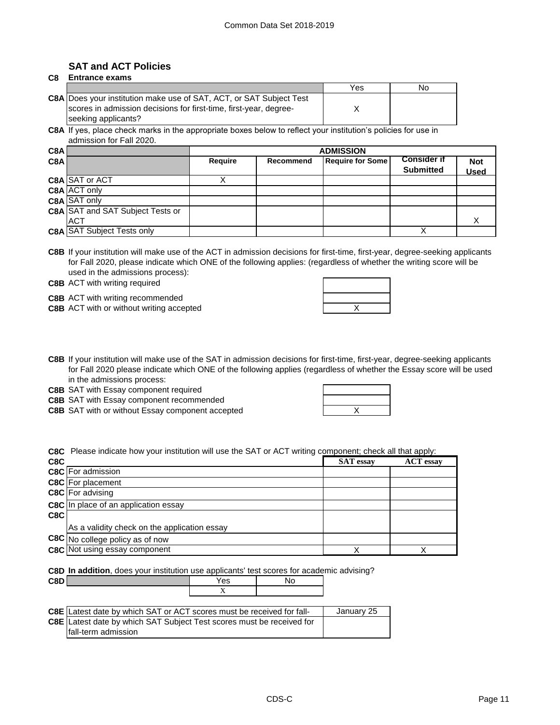# **SAT and ACT Policies**

#### **C8 Entrance exams**

|                                                                     | Yes | Nο |
|---------------------------------------------------------------------|-----|----|
| C8A Does your institution make use of SAT, ACT, or SAT Subject Test |     |    |
| scores in admission decisions for first-time, first-year, degree-   |     |    |
| seeking applicants?                                                 |     |    |

**C8A** If yes, place check marks in the appropriate boxes below to reflect your institution's policies for use in admission for Fall 2020.

| C8AI             |                                         | <b>ADMISSION</b> |           |                         |                                        |                           |
|------------------|-----------------------------------------|------------------|-----------|-------------------------|----------------------------------------|---------------------------|
| C <sub>8</sub> A |                                         | Require          | Recommend | <b>Require for Some</b> | <b>Consider if</b><br><b>Submitted</b> | <b>Not</b><br><b>Used</b> |
|                  | C8A SAT or ACT                          |                  |           |                         |                                        |                           |
|                  | C8A ACT only                            |                  |           |                         |                                        |                           |
|                  | <b>C8A SAT only</b>                     |                  |           |                         |                                        |                           |
|                  | <b>C8A</b> SAT and SAT Subject Tests or |                  |           |                         |                                        |                           |
|                  | <b>ACT</b>                              |                  |           |                         |                                        |                           |
|                  | <b>C8A SAT Subject Tests only</b>       |                  |           |                         |                                        |                           |

**C8B** If your institution will make use of the ACT in admission decisions for first-time, first-year, degree-seeking applicants for Fall 2020, please indicate which ONE of the following applies: (regardless of whether the writing score will be used in the admissions process):

**C8B** ACT with writing required

**C8B** ACT with writing recommended

**C8B** ACT with or without writing accepted **ACT ACT ACT ACT ACT ACT ACT ACT ACT ACT ACT ACT ACT ACT ACT ACT ACT ACT ACT ACT ACT ACT ACT ACT ACT ACT ACT ACT ACT ACT** 

| $\overline{\phantom{a}}$ |  |
|--------------------------|--|

**C8B** If your institution will make use of the SAT in admission decisions for first-time, first-year, degree-seeking applicants for Fall 2020 please indicate which ONE of the following applies (regardless of whether the Essay score will be used in the admissions process:

**C8B** SAT with Essay component required

**C8B** SAT with Essay component recommended

**C8B** SAT with or without Essay component accepted **EXALL SAT SET ASSESS** 

| X |  |
|---|--|

**C8C** Please indicate how your institution will use the SAT or ACT writing component; check all that apply:

| C8C |                                              | <b>SAT</b> essay | <b>ACT</b> essay |
|-----|----------------------------------------------|------------------|------------------|
|     | C8C For admission                            |                  |                  |
|     | <b>C8C</b> For placement                     |                  |                  |
|     | C8C For advising                             |                  |                  |
|     | <b>C8C</b> In place of an application essay  |                  |                  |
| C8C |                                              |                  |                  |
|     | As a validity check on the application essay |                  |                  |
|     | C8C No college policy as of now              |                  |                  |
|     | <b>C8C</b> Not using essay component         | х                |                  |

**C8D In addition**, does your institution use applicants' test scores for academic advising?

| C <sub>8</sub> D'<br>--- | es: |  |
|--------------------------|-----|--|
|                          |     |  |

| <b>C8E</b> Latest date by which SAT or ACT scores must be received for fall- | January 25 |
|------------------------------------------------------------------------------|------------|
| C8E Latest date by which SAT Subject Test scores must be received for        |            |
| fall-term admission                                                          |            |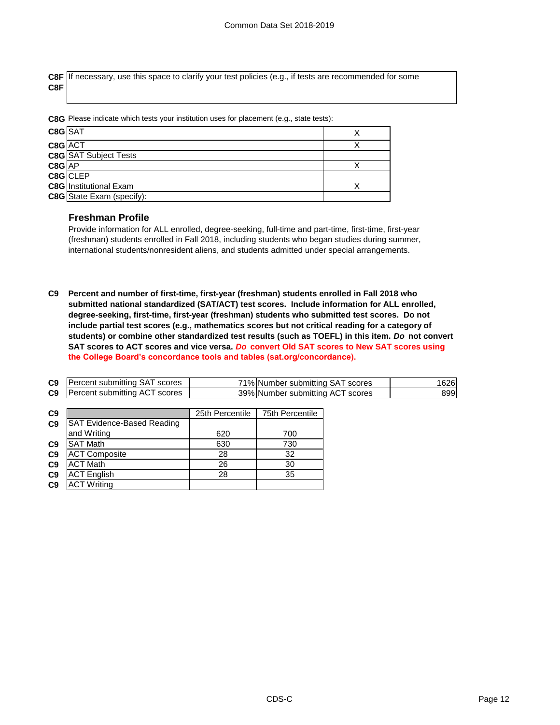**C8F** If necessary, use this space to clarify your test policies (e.g., if tests are recommended for some **C8F**

**C8G** Please indicate which tests your institution uses for placement (e.g., state tests):

| $C8G$ SAT  |                                  |  |
|------------|----------------------------------|--|
| C8G ACT    |                                  |  |
|            | <b>C8G</b> SAT Subject Tests     |  |
| $CSG$ $AP$ |                                  |  |
|            | C8G CLEP                         |  |
|            | <b>C8G</b> Institutional Exam    |  |
|            | <b>C8G</b> State Exam (specify): |  |

#### **Freshman Profile**

Provide information for ALL enrolled, degree-seeking, full-time and part-time, first-time, first-year (freshman) students enrolled in Fall 2018, including students who began studies during summer, international students/nonresident aliens, and students admitted under special arrangements.

**C9 Percent and number of first-time, first-year (freshman) students enrolled in Fall 2018 who submitted national standardized (SAT/ACT) test scores. Include information for ALL enrolled, degree-seeking, first-time, first-year (freshman) students who submitted test scores. Do not include partial test scores (e.g., mathematics scores but not critical reading for a category of students) or combine other standardized test results (such as TOEFL) in this item.** *Do* **not convert SAT scores to ACT scores and vice versa.** *Do* **convert Old SAT scores to New SAT scores using the College Board's concordance tools and tables (sat.org/concordance).**

| C9             | Percent submitting SAT scores      |                 | 71% Number submitting SAT scores | 1626 |
|----------------|------------------------------------|-----------------|----------------------------------|------|
| C <sub>9</sub> | Percent submitting ACT scores      |                 | 39% Number submitting ACT scores | 899  |
|                |                                    |                 |                                  |      |
| C <sub>9</sub> |                                    | 25th Percentile | 75th Percentile                  |      |
| C <sub>9</sub> | <b>ISAT Evidence-Based Reading</b> |                 |                                  |      |
|                | and Writing                        | 620             | 700                              |      |
| C9             | <b>SAT Math</b>                    | 630             | 730                              |      |
| C9             | <b>ACT Composite</b>               | 28              | 32                               |      |
| C <sub>9</sub> | <b>ACT Math</b>                    | 26              | 30                               |      |
| C <sub>9</sub> | <b>ACT English</b>                 | 28              | 35                               |      |
| C9             | <b>ACT Writing</b>                 |                 |                                  |      |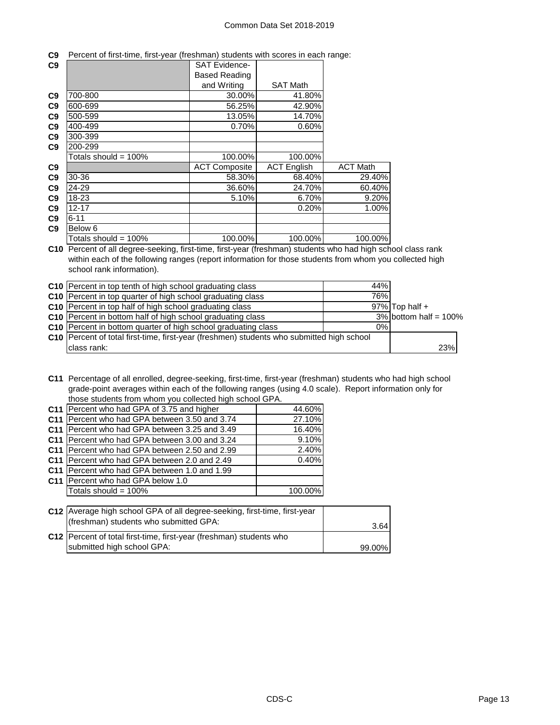|  |  | C9 Percent of first-time, first-year (freshman) students with scores in each range: |
|--|--|-------------------------------------------------------------------------------------|
|  |  |                                                                                     |

| C <sub>9</sub> |                         | <b>SAT Evidence-</b> |                    |                 |
|----------------|-------------------------|----------------------|--------------------|-----------------|
|                |                         | <b>Based Reading</b> |                    |                 |
|                |                         | and Writing          | <b>SAT Math</b>    |                 |
| C <sub>9</sub> | 700-800                 | 30.00%               | 41.80%             |                 |
| C <sub>9</sub> | 600-699                 | 56.25%               | 42.90%             |                 |
| C <sub>9</sub> | 500-599                 | 13.05%               | 14.70%             |                 |
| C <sub>9</sub> | 400-499                 | 0.70%                | 0.60%              |                 |
| C <sub>9</sub> | 300-399                 |                      |                    |                 |
| C9             | 200-299                 |                      |                    |                 |
|                | Totals should = $100\%$ | 100.00%              | 100.00%            |                 |
| C <sub>9</sub> |                         | <b>ACT Composite</b> | <b>ACT English</b> | <b>ACT Math</b> |
| C <sub>9</sub> | 30-36                   | 58.30%               | 68.40%             | 29.40%          |
| C <sub>9</sub> | 24-29                   | 36.60%               | 24.70%             | 60.40%          |
| C <sub>9</sub> | 18-23                   | 5.10%                | 6.70%              | 9.20%           |
| C <sub>9</sub> | $12 - 17$               |                      | 0.20%              | 1.00%           |
| C9             | $6 - 11$                |                      |                    |                 |
| C <sub>9</sub> | Below 6                 |                      |                    |                 |
|                | Totals should = $100\%$ | 100.00%              | 100.00%            | 100.00%         |

**C10** Percent of all degree-seeking, first-time, first-year (freshman) students who had high school class rank within each of the following ranges (report information for those students from whom you collected high school rank information).

| C10 Percent in top tenth of high school graduating class                                  | 44%   |                          |
|-------------------------------------------------------------------------------------------|-------|--------------------------|
| C10 Percent in top quarter of high school graduating class                                | 76%   |                          |
| C <sub>10</sub> Percent in top half of high school graduating class                       |       | $97\%$ Top half +        |
| C10 Percent in bottom half of high school graduating class                                |       | $3\%$ bottom half = 100% |
| <b>C10</b> Percent in bottom quarter of high school graduating class                      | $0\%$ |                          |
| C10 Percent of total first-time, first-year (freshmen) students who submitted high school |       |                          |
| class rank:                                                                               |       | 23%                      |

**C11** Percentage of all enrolled, degree-seeking, first-time, first-year (freshman) students who had high school grade-point averages within each of the following ranges (using 4.0 scale). Report information only for those students from whom you collected high school GPA.

|                 | C11 Percent who had GPA of 3.75 and higher      | 44.60%  |
|-----------------|-------------------------------------------------|---------|
| C <sub>11</sub> | Percent who had GPA between 3.50 and 3.74       | 27.10%  |
| C <sub>11</sub> | Percent who had GPA between 3.25 and 3.49       | 16.40%  |
|                 | C11   Percent who had GPA between 3.00 and 3.24 | 9.10%   |
|                 | C11 Percent who had GPA between 2.50 and 2.99   | 2.40%   |
|                 | C11 Percent who had GPA between 2.0 and 2.49    | 0.40%   |
|                 | C11   Percent who had GPA between 1.0 and 1.99  |         |
|                 | C11 Percent who had GPA below 1.0               |         |
|                 | Totals should = 100%                            | 100.00% |
|                 |                                                 |         |

| C12   Average high school GPA of all degree-seeking, first-time, first-year |        |
|-----------------------------------------------------------------------------|--------|
| (freshman) students who submitted GPA:                                      | 3.64   |
| C12 Percent of total first-time, first-year (freshman) students who         |        |
| submitted high school GPA:                                                  | 99.00% |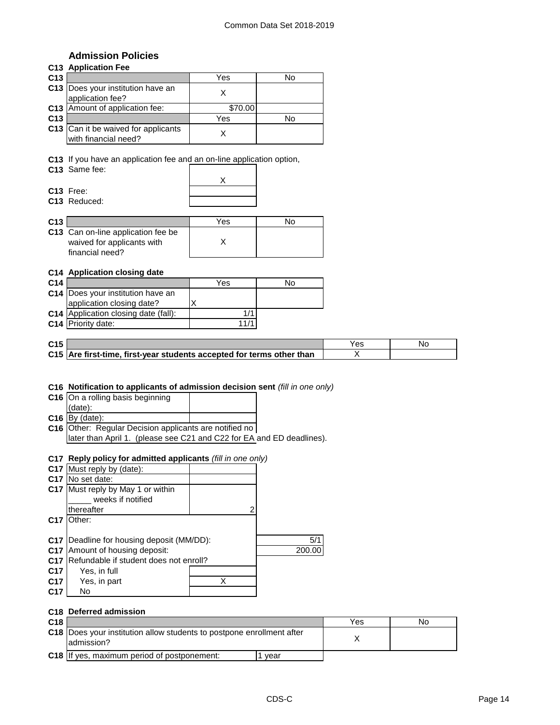## **Admission Policies**

### **C13 Application Fee**

| C <sub>13</sub> |                                                             | Yes     | N٥ |
|-----------------|-------------------------------------------------------------|---------|----|
|                 | C13 Does your institution have an<br>application fee?       |         |    |
|                 | C13 Amount of application fee:                              | \$70.00 |    |
| C <sub>13</sub> |                                                             | Yes     | N٥ |
|                 | C13 Can it be waived for applicants<br>with financial need? |         |    |

**C13** If you have an application fee and an on-line application option,

**C13** Same fee:

**C13** Free: **C13** Reduced:

| C <sub>13</sub> |                                           | Yes | N٥ |
|-----------------|-------------------------------------------|-----|----|
|                 | <b>C13</b> Can on-line application fee be |     |    |
|                 | waived for applicants with                |     |    |
|                 | financial need?                           |     |    |

#### **C14 Application closing date**

| C <sub>14</sub> |                                             | Yes  | No |
|-----------------|---------------------------------------------|------|----|
|                 | C14 Does your institution have an           |      |    |
|                 | application closing date?                   |      |    |
|                 | <b>C14</b> Application closing date (fall): |      |    |
|                 | <b>C14</b> Priority date:                   | 11/1 |    |

| C <sub>15</sub> |                                                                       | N. |
|-----------------|-----------------------------------------------------------------------|----|
|                 | C15 Are first-time, first-year students accepted for terms other than |    |

#### **C16 Notification to applicants of admission decision sent** *(fill in one only)*

| C16 On a rolling basis beginning                       |  |
|--------------------------------------------------------|--|
| (data):                                                |  |
| $C16$ By (date):                                       |  |
| C16 Other: Regular Decision applicants are notified no |  |
|                                                        |  |

later than April 1. (please see C21 and C22 for EA and ED deadlines).

#### **C17 Reply policy for admitted applicants** *(fill in one only)*

| C17 Must reply by (date):     |   |                                                                                 |
|-------------------------------|---|---------------------------------------------------------------------------------|
| No set date:                  |   |                                                                                 |
| Must reply by May 1 or within |   |                                                                                 |
| weeks if notified             |   |                                                                                 |
| thereafter                    |   |                                                                                 |
| Other:                        |   |                                                                                 |
|                               |   |                                                                                 |
|                               |   | 5/1                                                                             |
| Amount of housing deposit:    |   | 200.00                                                                          |
|                               |   |                                                                                 |
| Yes, in full                  |   |                                                                                 |
| Yes, in part                  | Χ |                                                                                 |
| No                            |   |                                                                                 |
|                               |   | Deadline for housing deposit (MM/DD):<br>Refundable if student does not enroll? |

#### **C18 Deferred admission C18** Yes No **C18** Does your institution allow students to postpone enrollment after X **C18** If yes, maximum period of postponement:  $\vert$ 1 year admission?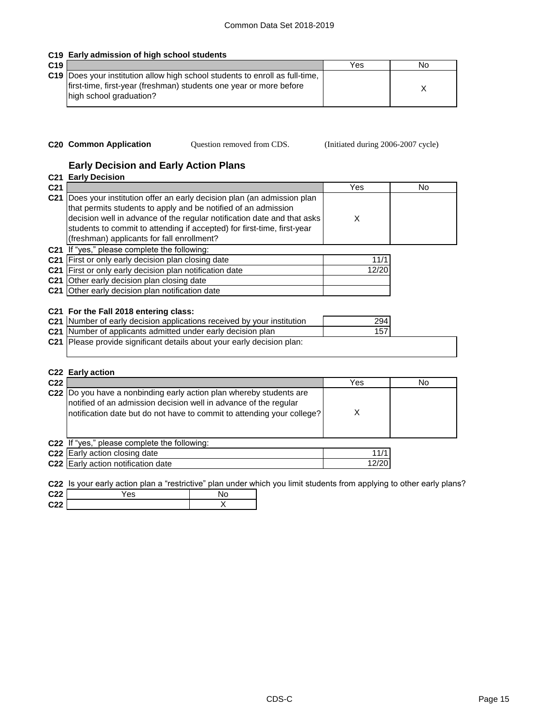### **C19 Early admission of high school students**

| C <sub>19</sub> |                                                                                                                                                                               | Yes | No |
|-----------------|-------------------------------------------------------------------------------------------------------------------------------------------------------------------------------|-----|----|
|                 | C19 Does your institution allow high school students to enroll as full-time,<br>first-time, first-year (freshman) students one year or more before<br>high school graduation? |     |    |

- 
- 

**C20 Common Application Question removed from CDS.** (Initiated during 2006-2007 cycle)

# **Early Decision and Early Action Plans**

|                 | <b>C21 Early Decision</b>                                                                                                                                                                                                                                                                                                                   |            |    |
|-----------------|---------------------------------------------------------------------------------------------------------------------------------------------------------------------------------------------------------------------------------------------------------------------------------------------------------------------------------------------|------------|----|
| C <sub>21</sub> |                                                                                                                                                                                                                                                                                                                                             | Yes        | No |
| C <sub>21</sub> | Does your institution offer an early decision plan (an admission plan<br>that permits students to apply and be notified of an admission<br>decision well in advance of the regular notification date and that asks<br>students to commit to attending if accepted) for first-time, first-year<br>(freshman) applicants for fall enrollment? | X          |    |
| C21             | If "yes," please complete the following:                                                                                                                                                                                                                                                                                                    |            |    |
| C <sub>21</sub> | First or only early decision plan closing date                                                                                                                                                                                                                                                                                              | 11/1       |    |
| C21             | First or only early decision plan notification date                                                                                                                                                                                                                                                                                         | 12/20      |    |
|                 | <b>C21</b> Other early decision plan closing date                                                                                                                                                                                                                                                                                           |            |    |
|                 | C21 Other early decision plan notification date                                                                                                                                                                                                                                                                                             |            |    |
| C21             | C21 For the Fall 2018 entering class:<br>C21 Number of early decision applications received by your institution<br>Number of applicants admitted under early decision plan                                                                                                                                                                  | 294<br>157 |    |
|                 | C21 Please provide significant details about your early decision plan:                                                                                                                                                                                                                                                                      |            |    |
|                 |                                                                                                                                                                                                                                                                                                                                             |            |    |

#### **C22 Early action**

| C <sub>22</sub> |                                                                                                                                                                                                                    | Yes   | No |
|-----------------|--------------------------------------------------------------------------------------------------------------------------------------------------------------------------------------------------------------------|-------|----|
|                 | C22  Do you have a nonbinding early action plan whereby students are<br>notified of an admission decision well in advance of the regular<br>notification date but do not have to commit to attending your college? |       |    |
|                 | C22 If "yes," please complete the following:                                                                                                                                                                       |       |    |
|                 | C22 Early action closing date                                                                                                                                                                                      | 11/1  |    |
|                 | C22 Early action notification date                                                                                                                                                                                 | 12/20 |    |

**C22** Is your early action plan a "restrictive" plan under which you limit students from applying to other early plans?

| C <sub>22</sub> | ′es |  |
|-----------------|-----|--|
| C <sub>22</sub> |     |  |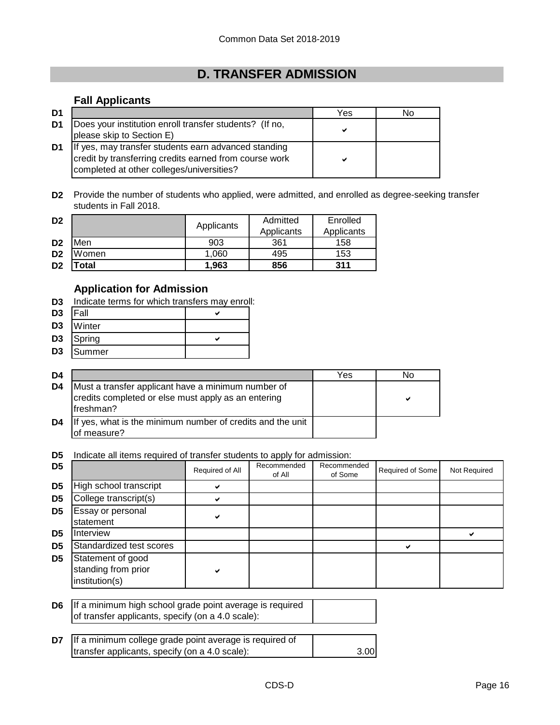# **D. TRANSFER ADMISSION**

# **Fall Applicants**

| D1             |                                                                                                                                                             | Yes | No |
|----------------|-------------------------------------------------------------------------------------------------------------------------------------------------------------|-----|----|
| D1             | Does your institution enroll transfer students? (If no,<br>please skip to Section E)                                                                        | v   |    |
| D <sub>1</sub> | If yes, may transfer students earn advanced standing<br>credit by transferring credits earned from course work<br>completed at other colleges/universities? |     |    |

**D2** Provide the number of students who applied, were admitted, and enrolled as degree-seeking transfer students in Fall 2018.

| D <sub>2</sub> |       | Applicants | Admitted   | Enrolled   |
|----------------|-------|------------|------------|------------|
|                |       |            | Applicants | Applicants |
| D <sub>2</sub> | Men   | 903        | 361        | 158        |
| D <sub>2</sub> | Women | 1.060      | 495        | 153        |
| D <sub>2</sub> | 'otal | 1.963      | 856        | 311        |

# **Application for Admission**

**D3** Indicate terms for which transfers may enroll:

| D3  | Fall  |  |
|-----|-------|--|
| no. | 11.01 |  |

- **D3** Winter
- $D3$  Spring  $\checkmark$
- **D3** Summer

| D4 |                                                                                                                         | Yes | No |
|----|-------------------------------------------------------------------------------------------------------------------------|-----|----|
| D4 | Must a transfer applicant have a minimum number of<br>credits completed or else must apply as an entering<br>lfreshman? |     | м  |
| D4 | If yes, what is the minimum number of credits and the unit<br>lof measure?                                              |     |    |

**D5** Indicate all items required of transfer students to apply for admission:

| D <sub>5</sub> |                                                            | Required of All | Recommended<br>of All | Recommended<br>of Some | Required of Some | Not Required |
|----------------|------------------------------------------------------------|-----------------|-----------------------|------------------------|------------------|--------------|
| D <sub>5</sub> | High school transcript                                     |                 |                       |                        |                  |              |
| D <sub>5</sub> | College transcript(s)                                      |                 |                       |                        |                  |              |
| D <sub>5</sub> | Essay or personal<br>statement                             |                 |                       |                        |                  |              |
| D <sub>5</sub> | <b>Interview</b>                                           |                 |                       |                        |                  |              |
| D <sub>5</sub> | Standardized test scores                                   |                 |                       |                        |                  |              |
| D <sub>5</sub> | Statement of good<br>standing from prior<br>institution(s) |                 |                       |                        |                  |              |

**D6** If a minimum high school grade point average is required of transfer applicants, specify (on a 4.0 scale):

| <b>D7</b> If a minimum college grade point average is required of |      |
|-------------------------------------------------------------------|------|
| transfer applicants, specify (on a 4.0 scale):                    | 3.00 |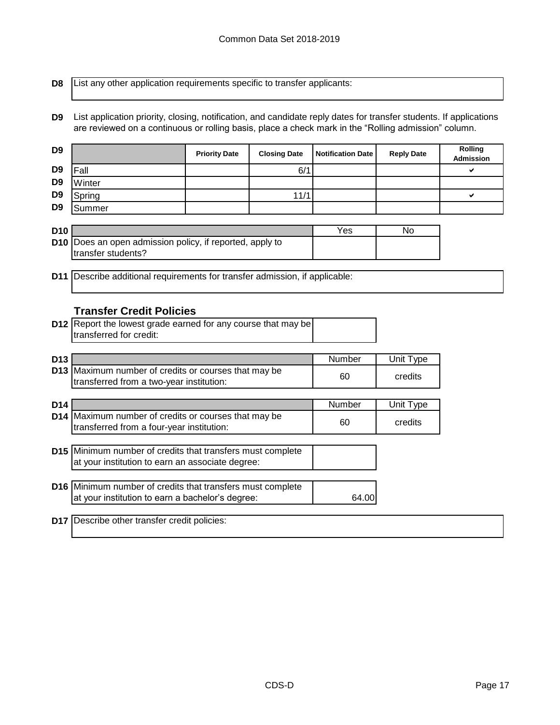**D8**

List any other application requirements specific to transfer applicants:

**D9** List application priority, closing, notification, and candidate reply dates for transfer students. If applications are reviewed on a continuous or rolling basis, place a check mark in the "Rolling admission" column.

| D <sub>9</sub>  |                                                                                | <b>Priority Date</b> | <b>Closing Date</b> | <b>Notification Date</b> | <b>Reply Date</b> | Rolling<br><b>Admission</b> |
|-----------------|--------------------------------------------------------------------------------|----------------------|---------------------|--------------------------|-------------------|-----------------------------|
| D <sub>9</sub>  | Fall                                                                           |                      | 6/1                 |                          |                   | ✔                           |
| D <sub>9</sub>  | Winter                                                                         |                      |                     |                          |                   |                             |
| D <sub>9</sub>  | Spring                                                                         |                      | 11/1                |                          |                   | ✔                           |
| D <sub>9</sub>  | Summer                                                                         |                      |                     |                          |                   |                             |
|                 |                                                                                |                      |                     |                          |                   |                             |
| <b>D10</b>      |                                                                                |                      |                     | Yes                      | <b>No</b>         |                             |
|                 | D10 Does an open admission policy, if reported, apply to<br>transfer students? |                      |                     |                          |                   |                             |
|                 |                                                                                |                      |                     |                          |                   |                             |
| D <sub>11</sub> | Describe additional requirements for transfer admission, if applicable:        |                      |                     |                          |                   |                             |
|                 |                                                                                |                      |                     |                          |                   |                             |
|                 |                                                                                |                      |                     |                          |                   |                             |
|                 | <b>Transfer Credit Policies</b>                                                |                      |                     |                          |                   |                             |
|                 | D12 Report the lowest grade earned for any course that may be                  |                      |                     |                          |                   |                             |
|                 | transferred for credit:                                                        |                      |                     |                          |                   |                             |
|                 |                                                                                |                      |                     |                          |                   |                             |
| D <sub>13</sub> | D13 Maximum number of credits or courses that may be                           |                      |                     | Number                   | Unit Type         |                             |
|                 | transferred from a two-year institution:                                       |                      |                     | 60                       | credits           |                             |
|                 |                                                                                |                      |                     |                          |                   |                             |
| D <sub>14</sub> |                                                                                |                      |                     | Number                   | Unit Type         |                             |
|                 | D14 Maximum number of credits or courses that may be                           |                      |                     |                          |                   |                             |
|                 | transferred from a four-year institution:                                      |                      |                     | 60                       | credits           |                             |
|                 |                                                                                |                      |                     |                          |                   |                             |
|                 | D15 Minimum number of credits that transfers must complete                     |                      |                     |                          |                   |                             |
|                 | at your institution to earn an associate degree:                               |                      |                     |                          |                   |                             |
|                 | D16 Minimum number of credits that transfers must complete                     |                      |                     |                          |                   |                             |
|                 | at your institution to earn a bachelor's degree:                               |                      |                     | 64.00                    |                   |                             |
|                 |                                                                                |                      |                     |                          |                   |                             |
| <b>D17</b>      | Describe other transfer credit policies:                                       |                      |                     |                          |                   |                             |
|                 |                                                                                |                      |                     |                          |                   |                             |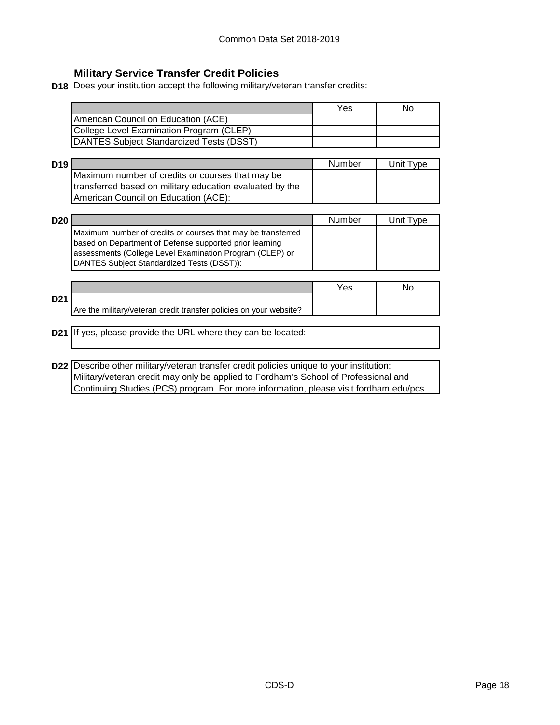# **Military Service Transfer Credit Policies**

**D18** Does your institution accept the following military/veteran transfer credits:

|                                          | Yes | No |
|------------------------------------------|-----|----|
| American Council on Education (ACE)      |     |    |
| College Level Examination Program (CLEP) |     |    |
| DANTES Subject Standardized Tests (DSST) |     |    |

| D <sub>19</sub> |                                                          | Number | Unit Type |
|-----------------|----------------------------------------------------------|--------|-----------|
|                 | Maximum number of credits or courses that may be         |        |           |
|                 | transferred based on military education evaluated by the |        |           |
|                 | American Council on Education (ACE):                     |        |           |

| <b>D20</b> |                                                              | Number | Unit Type |
|------------|--------------------------------------------------------------|--------|-----------|
|            | Maximum number of credits or courses that may be transferred |        |           |
|            | based on Department of Defense supported prior learning      |        |           |
|            | assessments (College Level Examination Program (CLEP) or     |        |           |
|            | DANTES Subject Standardized Tests (DSST)):                   |        |           |

|                 |                                                                    | Yes |  |
|-----------------|--------------------------------------------------------------------|-----|--|
| D <sub>21</sub> |                                                                    |     |  |
|                 | Are the military/veteran credit transfer policies on your website? |     |  |

## **D21** If yes, please provide the URL where they can be located:

**D22** Describe other military/veteran transfer credit policies unique to your institution: Military/veteran credit may only be applied to Fordham's School of Professional and Continuing Studies (PCS) program. For more information, please visit fordham.edu/pcs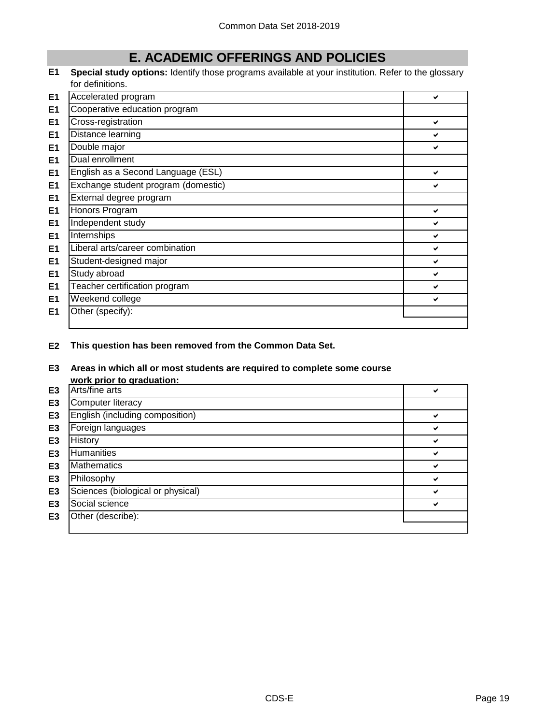# **E. ACADEMIC OFFERINGS AND POLICIES**

**E1 Special study options:** Identify those programs available at your institution. Refer to the glossary for definitions.

| E1             | Accelerated program                 | ✔ |
|----------------|-------------------------------------|---|
| E <sub>1</sub> | Cooperative education program       |   |
| E <sub>1</sub> | Cross-registration                  | ✔ |
| E <sub>1</sub> | Distance learning                   | ✔ |
| E1             | Double major                        | ✔ |
| E1             | Dual enrollment                     |   |
| E1             | English as a Second Language (ESL)  | ✔ |
| E1             | Exchange student program (domestic) | ✔ |
| E1             | External degree program             |   |
| E1             | Honors Program                      | ✔ |
| E <sub>1</sub> | Independent study                   | ✔ |
| E <sub>1</sub> | Internships                         | ✔ |
| E1             | Liberal arts/career combination     | ✔ |
| E1             | Student-designed major              | ✔ |
| E <sub>1</sub> | Study abroad                        | ✔ |
| E1             | Teacher certification program       | ✔ |
| E1             | Weekend college                     | ✔ |
| E1             | Other (specify):                    |   |
|                |                                     |   |

**E2 This question has been removed from the Common Data Set.**

#### **E3 Areas in which all or most students are required to complete some course work prior to graduation:**

|                | <u></u> .                         |   |
|----------------|-----------------------------------|---|
| E <sub>3</sub> | Arts/fine arts                    |   |
| E <sub>3</sub> | Computer literacy                 |   |
| E <sub>3</sub> | English (including composition)   | ✔ |
| E <sub>3</sub> | Foreign languages                 | ✔ |
| E <sub>3</sub> | History                           | ✔ |
| E <sub>3</sub> | <b>Humanities</b>                 |   |
| E <sub>3</sub> | <b>Mathematics</b>                | ✔ |
| E <sub>3</sub> | Philosophy                        | ✔ |
| E <sub>3</sub> | Sciences (biological or physical) |   |
| E <sub>3</sub> | Social science                    | ✔ |
| E <sub>3</sub> | Other (describe):                 |   |
|                |                                   |   |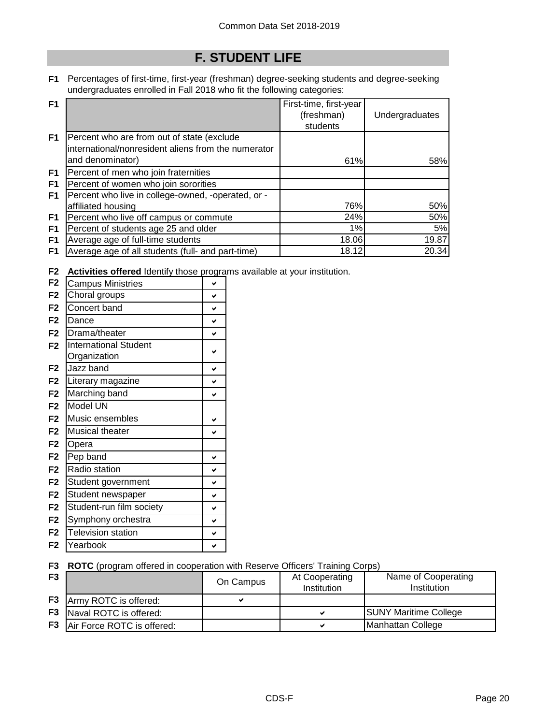# **F. STUDENT LIFE**

**F1** Percentages of first-time, first-year (freshman) degree-seeking students and degree-seeking undergraduates enrolled in Fall 2018 who fit the following categories:

| F <sub>1</sub> |                                                     | First-time, first-year |                |
|----------------|-----------------------------------------------------|------------------------|----------------|
|                |                                                     | (freshman)             | Undergraduates |
|                |                                                     | students               |                |
| F <sub>1</sub> | Percent who are from out of state (exclude          |                        |                |
|                | international/nonresident aliens from the numerator |                        |                |
|                | and denominator)                                    | 61%                    | 58%            |
| F <sub>1</sub> | Percent of men who join fraternities                |                        |                |
| F <sub>1</sub> | Percent of women who join sororities                |                        |                |
| F <sub>1</sub> | Percent who live in college-owned, -operated, or -  |                        |                |
|                | affiliated housing                                  | 76%                    | 50%            |
| F <sub>1</sub> | Percent who live off campus or commute              | 24%                    | 50%            |
| F1             | Percent of students age 25 and older                | 1%                     | 5%             |
| F <sub>1</sub> | Average age of full-time students                   | 18.06                  | 19.87          |
| F1             | Average age of all students (full- and part-time)   | 18.12                  | 20.34          |

**F2 Activities offered** Identify those programs available at your institution.

| <b>Campus Ministries</b>                     | V            |
|----------------------------------------------|--------------|
| Choral groups                                | ✓            |
| Concert band                                 | V            |
| Dance                                        | $\checkmark$ |
| Drama/theater                                | $\checkmark$ |
| <b>International Student</b><br>Organization | V            |
| Jazz band                                    | V            |
| Literary magazine                            | V            |
| Marching band                                | V            |
| Model UN                                     |              |
| Music ensembles                              | V            |
| <b>Musical theater</b>                       | V            |
| Opera                                        |              |
| Pep band                                     | V            |
| Radio station                                | V            |
| Student government                           | V            |
| Student newspaper                            | $\checkmark$ |
| Student-run film society                     | V            |
| Symphony orchestra                           | $\checkmark$ |
| <b>Television station</b>                    | V            |
| Yearbook                                     | ✓            |
|                                              |              |

## **F3 ROTC** (program offered in cooperation with Reserve Officers' Training Corps)

| F <sub>3</sub> |                                 | On Campus | At Cooperating<br>Institution | Name of Cooperating<br><b>Institution</b> |
|----------------|---------------------------------|-----------|-------------------------------|-------------------------------------------|
|                | <b>F3</b> Army ROTC is offered: |           |                               |                                           |
| F3             | Naval ROTC is offered:          |           |                               | <b>SUNY Maritime College</b>              |
| F <sub>3</sub> | Air Force ROTC is offered:      |           | м                             | Manhattan College                         |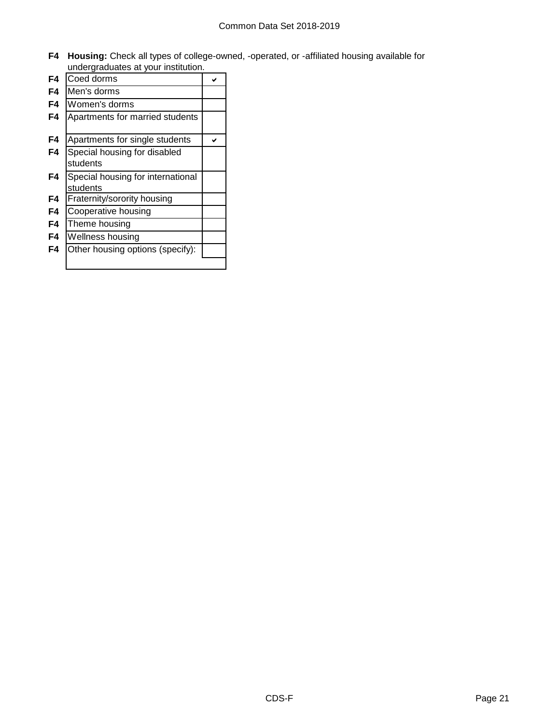**F4 Housing:** Check all types of college-owned, -operated, or -affiliated housing available for undergraduates at your institution.

| F4 | Coed dorms                        |  |
|----|-----------------------------------|--|
| F4 | Men's dorms                       |  |
| F4 | Women's dorms                     |  |
| F4 | Apartments for married students   |  |
| F4 | Apartments for single students    |  |
| F4 | Special housing for disabled      |  |
|    | students                          |  |
| F4 | Special housing for international |  |
|    | students                          |  |
| F4 | Fraternity/sorority housing       |  |
| F4 | Cooperative housing               |  |
| F4 | Theme housing                     |  |
| F4 | Wellness housing                  |  |
| F4 | Other housing options (specify):  |  |
|    |                                   |  |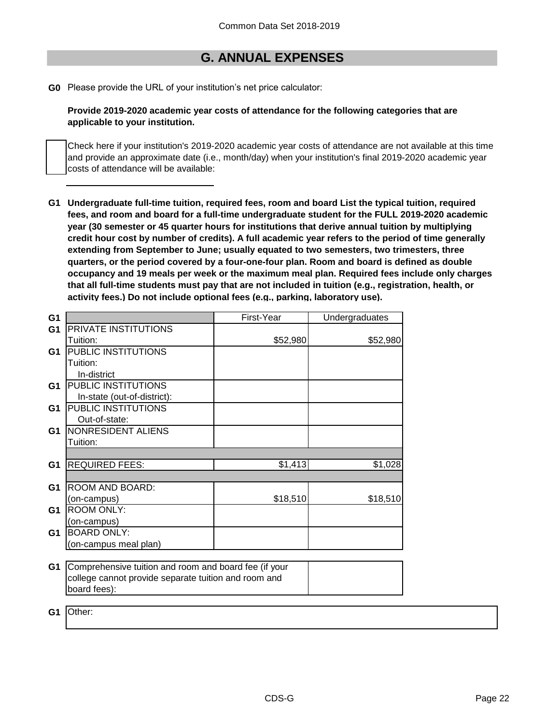# **G. ANNUAL EXPENSES**

**G0** Please provide the URL of your institution's net price calculator:

**Provide 2019-2020 academic year costs of attendance for the following categories that are applicable to your institution.**

Check here if your institution's 2019-2020 academic year costs of attendance are not available at this time and provide an approximate date (i.e., month/day) when your institution's final 2019-2020 academic year costs of attendance will be available:

**G1 Undergraduate full-time tuition, required fees, room and board List the typical tuition, required fees, and room and board for a full-time undergraduate student for the FULL 2019-2020 academic year (30 semester or 45 quarter hours for institutions that derive annual tuition by multiplying credit hour cost by number of credits). A full academic year refers to the period of time generally extending from September to June; usually equated to two semesters, two trimesters, three quarters, or the period covered by a four-one-four plan. Room and board is defined as double occupancy and 19 meals per week or the maximum meal plan. Required fees include only charges that all full-time students must pay that are not included in tuition (e.g., registration, health, or activity fees.) Do not include optional fees (e.g., parking, laboratory use).**

| G <sub>1</sub> |                                                       | First-Year | Undergraduates |
|----------------|-------------------------------------------------------|------------|----------------|
| G <sub>1</sub> | PRIVATE INSTITUTIONS                                  |            |                |
|                | Tuition:                                              | \$52,980   | \$52,980       |
| G1             | PUBLIC INSTITUTIONS                                   |            |                |
|                | Tuition:                                              |            |                |
|                | In-district                                           |            |                |
| G <sub>1</sub> | PUBLIC INSTITUTIONS                                   |            |                |
|                | In-state (out-of-district):                           |            |                |
| G1             | PUBLIC INSTITUTIONS                                   |            |                |
|                | Out-of-state:                                         |            |                |
| G1             | NONRESIDENT ALIENS                                    |            |                |
|                | Tuition:                                              |            |                |
|                |                                                       |            |                |
| G <sub>1</sub> | <b>REQUIRED FEES:</b>                                 | \$1,413    | \$1,028        |
|                |                                                       |            |                |
| G <sub>1</sub> | ROOM AND BOARD:                                       |            |                |
|                | (on-campus)                                           | \$18,510   | \$18,510       |
| G1             | <b>ROOM ONLY:</b>                                     |            |                |
|                | (on-campus)                                           |            |                |
| G1             | <b>BOARD ONLY:</b>                                    |            |                |
|                | (on-campus meal plan)                                 |            |                |
|                |                                                       |            |                |
| G <sub>1</sub> | Comprehensive tuition and room and board fee (if your |            |                |
|                | college cannot provide separate tuition and room and  |            |                |
|                | board fees):                                          |            |                |

**G1** Other: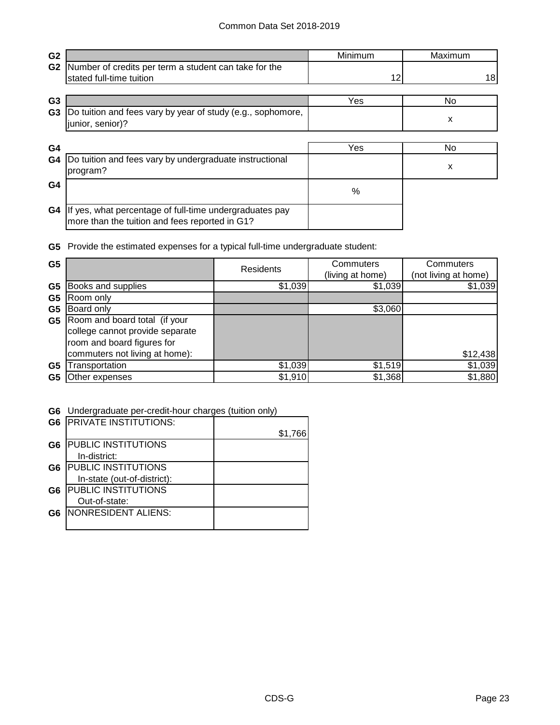| G <sub>2</sub> |                                                                                                           | Minimum | Maximum |
|----------------|-----------------------------------------------------------------------------------------------------------|---------|---------|
| G <sub>2</sub> | Number of credits per term a student can take for the                                                     |         |         |
|                | stated full-time tuition                                                                                  | 12      | 18      |
|                |                                                                                                           |         |         |
| G <sub>3</sub> |                                                                                                           | Yes     | No.     |
| G <sub>3</sub> | Do tuition and fees vary by year of study (e.g., sophomore,<br>junior, senior)?                           |         | X       |
|                |                                                                                                           |         |         |
| G <sub>4</sub> |                                                                                                           | Yes     | No      |
| G4             | Do tuition and fees vary by undergraduate instructional<br>program?                                       |         | x       |
| G <sub>4</sub> |                                                                                                           | $\%$    |         |
| G4             | If yes, what percentage of full-time undergraduates pay<br>more than the tuition and fees reported in G1? |         |         |

**G5** Provide the estimated expenses for a typical full-time undergraduate student:

| G <sub>5</sub> |                                 | Residents | Commuters<br>(living at home) | Commuters<br>(not living at home) |  |
|----------------|---------------------------------|-----------|-------------------------------|-----------------------------------|--|
| G <sub>5</sub> | Books and supplies              | \$1,039   | \$1,039                       | \$1,039                           |  |
| G <sub>5</sub> | Room only                       |           |                               |                                   |  |
| G <sub>5</sub> | Board only                      |           | \$3,060                       |                                   |  |
| G5             | Room and board total (if your   |           |                               |                                   |  |
|                | college cannot provide separate |           |                               |                                   |  |
|                | room and board figures for      |           |                               |                                   |  |
|                | commuters not living at home):  |           |                               | \$12,438                          |  |
| G5             | ransportation                   | \$1,039   | \$1,519                       | \$1,039                           |  |
| G5             | Other expenses                  | \$1,910   | \$1,368                       | \$1,880                           |  |

## **G6** Undergraduate per-credit-hour charges (tuition only)

| G <sub>6</sub> | <b>PRIVATE INSTITUTIONS:</b> |         |
|----------------|------------------------------|---------|
|                |                              | \$1,766 |
| G <sub>6</sub> | <b>PUBLIC INSTITUTIONS</b>   |         |
|                | In-district:                 |         |
| G <sub>6</sub> | <b>PUBLIC INSTITUTIONS</b>   |         |
|                | In-state (out-of-district):  |         |
| G <sub>6</sub> | <b>PUBLIC INSTITUTIONS</b>   |         |
|                | Out-of-state:                |         |
| G6             | NONRESIDENT ALIENS:          |         |
|                |                              |         |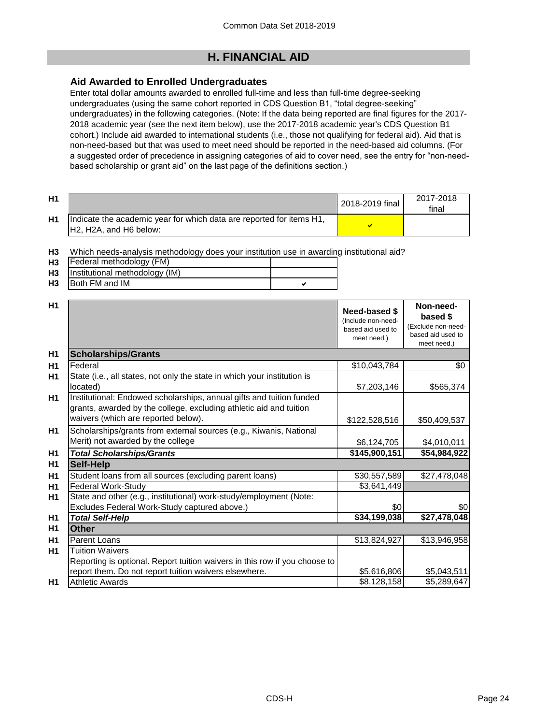# **H. FINANCIAL AID**

### **Aid Awarded to Enrolled Undergraduates**

Enter total dollar amounts awarded to enrolled full-time and less than full-time degree-seeking undergraduates (using the same cohort reported in CDS Question B1, "total degree-seeking" undergraduates) in the following categories. (Note: If the data being reported are final figures for the 2017- 2018 academic year (see the next item below), use the 2017-2018 academic year's CDS Question B1 cohort.) Include aid awarded to international students (i.e., those not qualifying for federal aid). Aid that is non-need-based but that was used to meet need should be reported in the need-based aid columns. (For a suggested order of precedence in assigning categories of aid to cover need, see the entry for "non-needbased scholarship or grant aid" on the last page of the definitions section.)

| H1 |                                                                                                                                      | 2018-2019 final | 2017-2018<br>final |
|----|--------------------------------------------------------------------------------------------------------------------------------------|-----------------|--------------------|
| H1 | Indicate the academic year for which data are reported for items H1,<br>H <sub>2</sub> , H <sub>2</sub> A, and H <sub>6</sub> below: |                 |                    |

**H3** Which needs-analysis methodology does your institution use in awarding institutional aid?

|           | ---                               |  |
|-----------|-----------------------------------|--|
| <b>H3</b> | Federal methodology (FM)          |  |
|           | H3 Institutional methodology (IM) |  |
| <b>H3</b> | <b>Both FM and IM</b>             |  |
|           |                                   |  |

| H1 |                                                                            |                                     | Non-need-                        |
|----|----------------------------------------------------------------------------|-------------------------------------|----------------------------------|
|    |                                                                            | Need-based \$<br>(Include non-need- | based \$                         |
|    |                                                                            | based aid used to                   | (Exclude non-need-               |
|    |                                                                            | meet need.)                         | based aid used to<br>meet need.) |
| H1 | <b>Scholarships/Grants</b>                                                 |                                     |                                  |
| H1 | Federal                                                                    | \$10,043,784                        | \$0                              |
| H1 | State (i.e., all states, not only the state in which your institution is   |                                     |                                  |
|    | located)                                                                   | \$7,203,146                         | \$565,374                        |
| H1 | Institutional: Endowed scholarships, annual gifts and tuition funded       |                                     |                                  |
|    | grants, awarded by the college, excluding athletic aid and tuition         |                                     |                                  |
|    | waivers (which are reported below).                                        | \$122,528,516                       | \$50,409,537                     |
| H1 | Scholarships/grants from external sources (e.g., Kiwanis, National         |                                     |                                  |
|    | Merit) not awarded by the college                                          | \$6,124,705                         | \$4,010,011                      |
| H1 | <b>Total Scholarships/Grants</b>                                           | \$145,900,151                       | \$54,984,922                     |
| H1 | Self-Help                                                                  |                                     |                                  |
| H1 | Student loans from all sources (excluding parent loans)                    | \$30,557,589                        | \$27,478,048                     |
| H1 | Federal Work-Study                                                         | \$3,641,449                         |                                  |
| H1 | State and other (e.g., institutional) work-study/employment (Note:         |                                     |                                  |
|    | Excludes Federal Work-Study captured above.)                               | \$0                                 | \$0                              |
| H1 | <b>Total Self-Help</b>                                                     | \$34,199,038                        | \$27,478,048                     |
| H1 | <b>Other</b>                                                               |                                     |                                  |
| H1 | Parent Loans                                                               | \$13,824,927                        | \$13,946,958                     |
| H1 | <b>Tuition Waivers</b>                                                     |                                     |                                  |
|    | Reporting is optional. Report tuition waivers in this row if you choose to |                                     |                                  |
|    | report them. Do not report tuition waivers elsewhere.                      | \$5,616,806                         | \$5,043,511                      |
| H1 | <b>Athletic Awards</b>                                                     | \$8,128,158                         | \$5,289,647                      |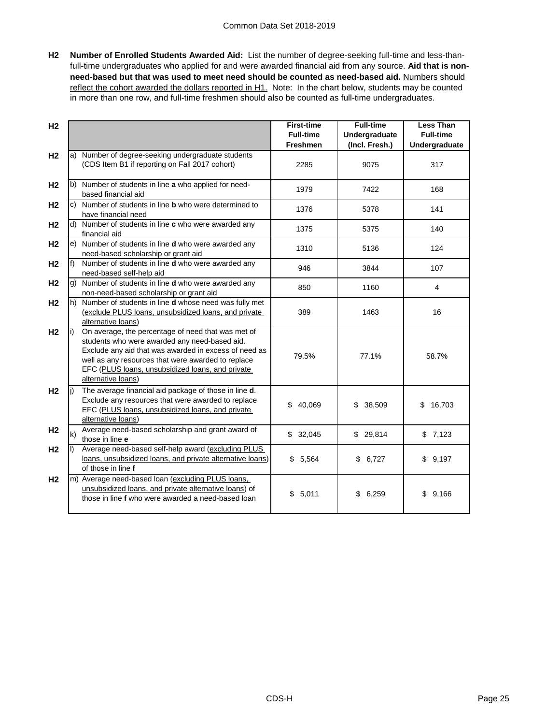**H2 Number of Enrolled Students Awarded Aid:** List the number of degree-seeking full-time and less-thanfull-time undergraduates who applied for and were awarded financial aid from any source. **Aid that is nonneed-based but that was used to meet need should be counted as need-based aid.** Numbers should reflect the cohort awarded the dollars reported in H1. Note: In the chart below, students may be counted in more than one row, and full-time freshmen should also be counted as full-time undergraduates.

| H <sub>2</sub> |    |                                                                                                                                                                                                                                                                                              | <b>First-time</b><br><b>Full-time</b> | <b>Full-time</b>                | <b>Less Than</b><br><b>Full-time</b> |
|----------------|----|----------------------------------------------------------------------------------------------------------------------------------------------------------------------------------------------------------------------------------------------------------------------------------------------|---------------------------------------|---------------------------------|--------------------------------------|
|                |    |                                                                                                                                                                                                                                                                                              | <b>Freshmen</b>                       | Undergraduate<br>(Incl. Fresh.) | Undergraduate                        |
| H <sub>2</sub> |    | a) Number of degree-seeking undergraduate students<br>(CDS Item B1 if reporting on Fall 2017 cohort)                                                                                                                                                                                         | 2285                                  | 9075                            | 317                                  |
| H <sub>2</sub> |    | b) Number of students in line a who applied for need-<br>based financial aid                                                                                                                                                                                                                 | 1979                                  | 7422                            | 168                                  |
| H <sub>2</sub> |    | c) Number of students in line <b>b</b> who were determined to<br>have financial need                                                                                                                                                                                                         | 1376                                  | 5378                            | 141                                  |
| H <sub>2</sub> |    | d) Number of students in line c who were awarded any<br>financial aid                                                                                                                                                                                                                        | 1375                                  | 5375                            | 140                                  |
| H <sub>2</sub> |    | e) Number of students in line d who were awarded any<br>need-based scholarship or grant aid                                                                                                                                                                                                  | 1310                                  | 5136                            | 124                                  |
| H <sub>2</sub> |    | Number of students in line d who were awarded any<br>need-based self-help aid                                                                                                                                                                                                                | 946                                   | 3844                            | 107                                  |
| H <sub>2</sub> |    | g) Number of students in line d who were awarded any<br>non-need-based scholarship or grant aid                                                                                                                                                                                              | 850                                   | 1160                            | $\overline{4}$                       |
| H <sub>2</sub> |    | h) Number of students in line <b>d</b> whose need was fully met<br>(exclude PLUS loans, unsubsidized loans, and private<br>alternative loans)                                                                                                                                                | 389                                   | 1463                            | 16                                   |
| H <sub>2</sub> |    | On average, the percentage of need that was met of<br>students who were awarded any need-based aid.<br>Exclude any aid that was awarded in excess of need as<br>well as any resources that were awarded to replace<br>EFC (PLUS loans, unsubsidized loans, and private<br>alternative loans) | 79.5%                                 | 77.1%                           | 58.7%                                |
| H <sub>2</sub> |    | The average financial aid package of those in line d.<br>Exclude any resources that were awarded to replace<br>EFC (PLUS loans, unsubsidized loans, and private<br>alternative loans)                                                                                                        | 40,069<br>\$                          | 38,509<br>\$                    | 16,703<br>\$                         |
| H <sub>2</sub> | k) | Average need-based scholarship and grant award of<br>those in line e                                                                                                                                                                                                                         | \$32,045                              | \$29,814                        | \$7,123                              |
| H <sub>2</sub> |    | Average need-based self-help award (excluding PLUS<br>loans, unsubsidized loans, and private alternative loans)<br>of those in line f                                                                                                                                                        | \$5,564                               | 6,727<br>\$                     | \$9,197                              |
| H <sub>2</sub> |    | m) Average need-based loan (excluding PLUS loans,<br>unsubsidized loans, and private alternative loans) of<br>those in line f who were awarded a need-based loan                                                                                                                             | \$5,011                               | \$6,259                         | \$9,166                              |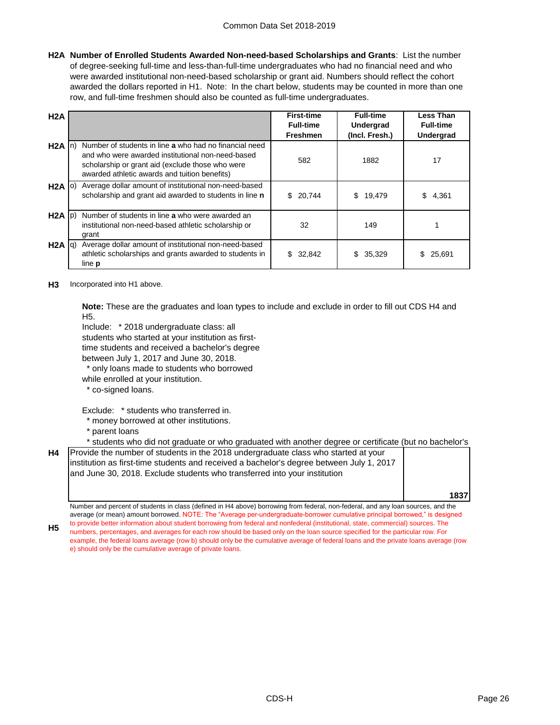**H2A Number of Enrolled Students Awarded Non-need-based Scholarships and Grants**: List the number of degree-seeking full-time and less-than-full-time undergraduates who had no financial need and who were awarded institutional non-need-based scholarship or grant aid. Numbers should reflect the cohort awarded the dollars reported in H1. Note: In the chart below, students may be counted in more than one row, and full-time freshmen should also be counted as full-time undergraduates.

| H2A               |                                                                                                                                                                                                                  | <b>First-time</b><br><b>Full-time</b><br><b>Freshmen</b> | <b>Full-time</b><br>Undergrad<br>(Incl. Fresh.) | <b>Less Than</b><br><b>Full-time</b><br><b>Undergrad</b> |
|-------------------|------------------------------------------------------------------------------------------------------------------------------------------------------------------------------------------------------------------|----------------------------------------------------------|-------------------------------------------------|----------------------------------------------------------|
| $H2A$ In)         | Number of students in line a who had no financial need<br>and who were awarded institutional non-need-based<br>scholarship or grant aid (exclude those who were<br>awarded athletic awards and tuition benefits) | 582                                                      | 1882                                            | 17                                                       |
| $H2A$ (0)         | Average dollar amount of institutional non-need-based<br>scholarship and grant aid awarded to students in line n                                                                                                 | \$20,744                                                 | \$<br>19,479                                    | 4.361<br>S                                               |
| $H2A$ $ p\rangle$ | Number of students in line a who were awarded an<br>institutional non-need-based athletic scholarship or<br>grant                                                                                                | 32                                                       | 149                                             |                                                          |
| $H2A$ $q$         | Average dollar amount of institutional non-need-based<br>athletic scholarships and grants awarded to students in<br>line <b>p</b>                                                                                | \$32,842                                                 | 35,329<br>\$.                                   | 25,691                                                   |

**H3** Incorporated into H1 above.

**Note:** These are the graduates and loan types to include and exclude in order to fill out CDS H4 and H5.

Include: \* 2018 undergraduate class: all

students who started at your institution as first-

time students and received a bachelor's degree

- between July 1, 2017 and June 30, 2018.
- \* only loans made to students who borrowed
- while enrolled at your institution.
- \* co-signed loans.

Exclude: \* students who transferred in.

- \* money borrowed at other institutions.
- \* parent loans
- \* students who did not graduate or who graduated with another degree or certificate (but no bachelor's degree)

**H4** Provide the number of students in the 2018 undergraduate class who started at your institution as first-time students and received a bachelor's degree between July 1, 2017 and June 30, 2018. Exclude students who transferred into your institution

**1837**

Number and percent of students in class (defined in H4 above) borrowing from federal, non-federal, and any loan sources, and the average (or mean) amount borrowed. NOTE: The "Average per-undergraduate-borrower cumulative principal borrowed," is designed to provide better information about student borrowing from federal and nonfederal (institutional, state, commercial) sources. The

**H5** numbers, percentages, and averages for each row should be based only on the loan source specified for the particular row. For example, the federal loans average (row b) should only be the cumulative average of federal loans and the private loans average (row e) should only be the cumulative average of private loans.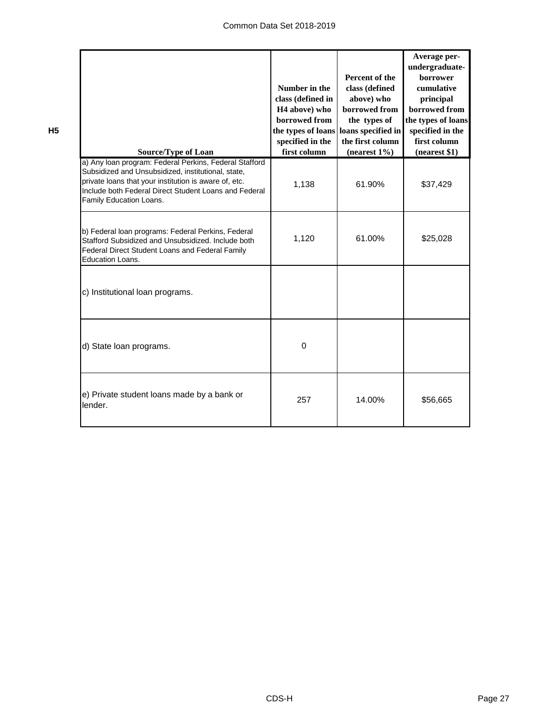| <b>Source/Type of Loan</b>                                                                                                                                                                                                                                | Number in the<br>class (defined in<br>H <sub>4</sub> above) who<br>borrowed from<br>the types of loans loans specified in<br>specified in the<br>first column | Percent of the<br>class (defined<br>above) who<br>borrowed from<br>the types of<br>the first column<br>(nearest $1\%$ ) | Average per-<br>undergraduate-<br>borrower<br>cumulative<br>principal<br>borrowed from<br>the types of loans<br>specified in the<br>first column<br>(nearest \$1) |
|-----------------------------------------------------------------------------------------------------------------------------------------------------------------------------------------------------------------------------------------------------------|---------------------------------------------------------------------------------------------------------------------------------------------------------------|-------------------------------------------------------------------------------------------------------------------------|-------------------------------------------------------------------------------------------------------------------------------------------------------------------|
| a) Any loan program: Federal Perkins, Federal Stafford<br>Subsidized and Unsubsidized, institutional, state,<br>private loans that your institution is aware of, etc.<br>Include both Federal Direct Student Loans and Federal<br>Family Education Loans. | 1,138                                                                                                                                                         | 61.90%                                                                                                                  | \$37,429                                                                                                                                                          |
| b) Federal loan programs: Federal Perkins, Federal<br>Stafford Subsidized and Unsubsidized. Include both<br>Federal Direct Student Loans and Federal Family<br><b>Education Loans.</b>                                                                    | 1,120                                                                                                                                                         | 61.00%                                                                                                                  | \$25,028                                                                                                                                                          |
| c) Institutional loan programs.                                                                                                                                                                                                                           |                                                                                                                                                               |                                                                                                                         |                                                                                                                                                                   |
| d) State loan programs.                                                                                                                                                                                                                                   | $\Omega$                                                                                                                                                      |                                                                                                                         |                                                                                                                                                                   |
| e) Private student loans made by a bank or<br>lender.                                                                                                                                                                                                     | 257                                                                                                                                                           | 14.00%                                                                                                                  | \$56,665                                                                                                                                                          |

**H5**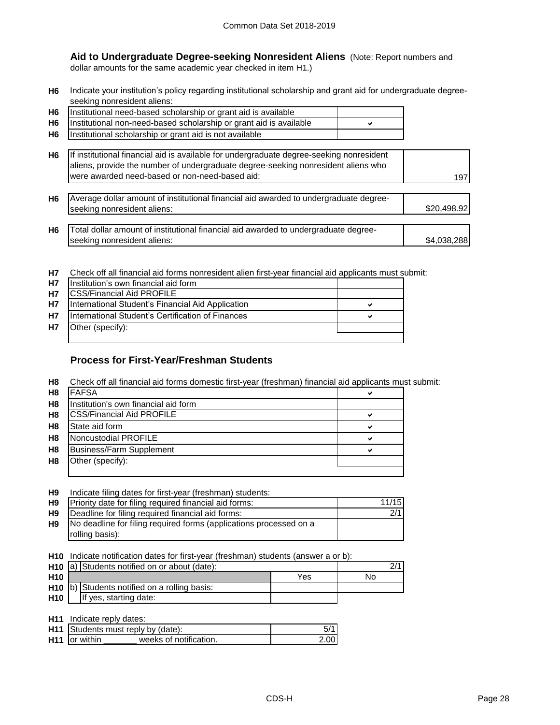**Aid to Undergraduate Degree-seeking Nonresident Aliens** (Note: Report numbers and dollar amounts for the same academic year checked in item H1.)

**H6** Indicate your institution's policy regarding institutional scholarship and grant aid for undergraduate degreeseeking nonresident aliens:

| <b>H6</b> | Institutional need-based scholarship or grant aid is available          |  |
|-----------|-------------------------------------------------------------------------|--|
|           | H6   Institutional non-need-based scholarship or grant aid is available |  |
|           | H6 Institutional scholarship or grant aid is not available              |  |

| H6   If institutional financial aid is available for undergraduate degree-seeking nonresident |     |
|-----------------------------------------------------------------------------------------------|-----|
| aliens, provide the number of undergraduate degree-seeking nonresident aliens who             |     |
| I were awarded need-based or non-need-based aid:                                              | 197 |

| H6 Average dollar amount of institutional financial aid awarded to undergraduate degree-<br>seeking nonresident aliens: | \$20,498.92 |
|-------------------------------------------------------------------------------------------------------------------------|-------------|
|                                                                                                                         |             |
| H6 Total dollar amount of institutional financial aid awarded to undergraduate degree-                                  |             |

| <b>H7</b> Check off all financial aid forms nonresident alien first-year financial aid applicants must submit: |
|----------------------------------------------------------------------------------------------------------------|

| <b>H7</b> | Institution's own financial aid form               |   |
|-----------|----------------------------------------------------|---|
| <b>H7</b> | <b>ICSS/Financial Aid PROFILE</b>                  |   |
| <b>H7</b> | International Student's Financial Aid Application  | ✔ |
| <b>H7</b> | IInternational Student's Certification of Finances | v |
| <b>H7</b> | Other (specify):                                   |   |
|           |                                                    |   |

## **Process for First-Year/Freshman Students**

seeking nonresident aliens:

**H8** Check off all financial aid forms domestic first-year (freshman) financial aid applicants must submit:

| H <sub>8</sub> | <b>FAFSA</b>                         | ✔ |
|----------------|--------------------------------------|---|
| H <sub>8</sub> | Institution's own financial aid form |   |
| H <sub>8</sub> | <b>CSS/Financial Aid PROFILE</b>     | ✔ |
| H <sub>8</sub> | State aid form                       | ✔ |
| H <sub>8</sub> | Noncustodial PROFILE                 | ✔ |
| H <sub>8</sub> | <b>Business/Farm Supplement</b>      | ✔ |
| H <sub>8</sub> | Other (specify):                     |   |
|                |                                      |   |

| H <sub>9</sub> | Indicate filing dates for first-year (freshman) students: |  |  |
|----------------|-----------------------------------------------------------|--|--|
|                |                                                           |  |  |

| <b>H9</b> | Priority date for filing required financial aid forms:             | 11/15 |
|-----------|--------------------------------------------------------------------|-------|
| H9        | Deadline for filing required financial aid forms:                  | 2/1   |
| H9        | No deadline for filing required forms (applications processed on a |       |
|           | rolling basis):                                                    |       |

**H10** Indicate notification dates for first-year (freshman) students (answer a or b):

|                 | H <sub>10</sub> a) Students notified on or about (date): |    |  |
|-----------------|----------------------------------------------------------|----|--|
| H <sub>10</sub> |                                                          | No |  |
|                 | H <sub>10</sub> b) Students notified on a rolling basis: |    |  |
| <b>H10</b>      | If yes, starting date:                                   |    |  |

| <b>H11</b> Indicate reply dates: |                                           |      |
|----------------------------------|-------------------------------------------|------|
|                                  | <b>H11</b> Students must reply by (date): |      |
| <b>H11</b> for within            | weeks of notification.                    | 2.00 |

\$4,038,28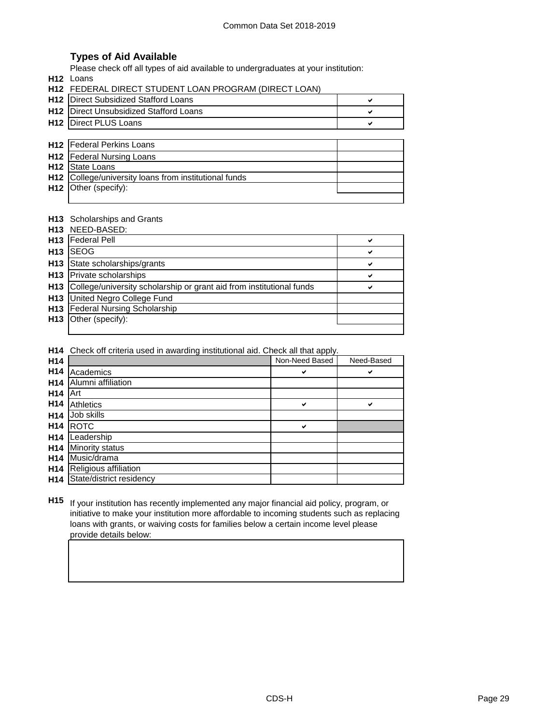## **Types of Aid Available**

Please check off all types of aid available to undergraduates at your institution:

**H12** Loans

|                 | H12 FEDERAL DIRECT STUDENT LOAN PROGRAM (DIRECT LOAN) |   |
|-----------------|-------------------------------------------------------|---|
| H <sub>12</sub> | <b>IDirect Subsidized Stafford Loans</b>              | ✔ |
| H <sub>12</sub> | Direct Unsubsidized Stafford Loans                    | ✔ |
| H <sub>12</sub> | Direct PLUS Loans                                     | ✔ |
|                 |                                                       |   |
| H12             | <b>Federal Perkins Loans</b>                          |   |
| H <sub>12</sub> | <b>Federal Nursing Loans</b>                          |   |
| H <sub>12</sub> | <b>State Loans</b>                                    |   |
| H <sub>12</sub> | College/university loans from institutional funds     |   |
| H <sub>12</sub> | Other (specify):                                      |   |
|                 |                                                       |   |

#### **H13** Scholarships and Grants

|                 | H <sub>13</sub> NEED-BASED:                                          |              |
|-----------------|----------------------------------------------------------------------|--------------|
|                 | <b>H13</b>   Federal Pell                                            | ✔            |
| H <sub>13</sub> | <b>SEOG</b>                                                          | $\checkmark$ |
|                 | H13 State scholarships/grants                                        | ✔            |
|                 | <b>H13</b> Private scholarships                                      | ✔            |
| H <sub>13</sub> | College/university scholarship or grant aid from institutional funds | ✔            |
| H13             | United Negro College Fund                                            |              |
|                 | H13 Federal Nursing Scholarship                                      |              |
| H <sub>13</sub> | Other (specify):                                                     |              |
|                 |                                                                      |              |

**H14** Check off criteria used in awarding institutional aid. Check all that apply.

| H14             |                          | Non-Need Based | Need-Based |
|-----------------|--------------------------|----------------|------------|
| H <sub>14</sub> | Academics                | ✔              | ✔          |
| H <sub>14</sub> | Alumni affiliation       |                |            |
| H <sub>14</sub> | Art                      |                |            |
| H <sub>14</sub> | <b>Athletics</b>         | ✔              | ✔          |
| H <sub>14</sub> | Job skills               |                |            |
| H <sub>14</sub> | <b>ROTC</b>              | ✔              |            |
| H <sub>14</sub> | Leadership               |                |            |
| H <sub>14</sub> | Minority status          |                |            |
| H <sub>14</sub> | Music/drama              |                |            |
| H <sub>14</sub> | Religious affiliation    |                |            |
| H <sub>14</sub> | State/district residency |                |            |

**H15** If your institution has recently implemented any major financial aid policy, program, or initiative to make your institution more affordable to incoming students such as replacing loans with grants, or waiving costs for families below a certain income level please provide details below: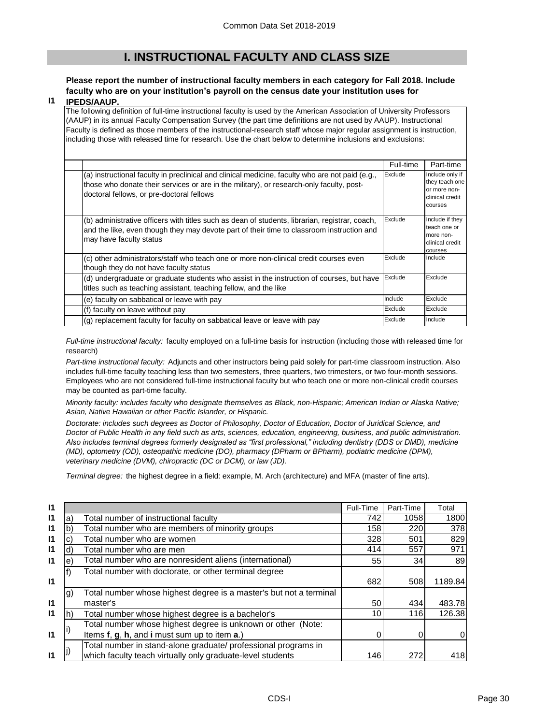# **I. INSTRUCTIONAL FACULTY AND CLASS SIZE**

## **Please report the number of instructional faculty members in each category for Fall 2018. Include faculty who are on your institution's payroll on the census date your institution uses for**

#### **I1 IPEDS/AAUP.**

The following definition of full-time instructional faculty is used by the American Association of University Professors (AAUP) in its annual Faculty Compensation Survey (the part time definitions are not used by AAUP). Instructional Faculty is defined as those members of the instructional-research staff whose major regular assignment is instruction, including those with released time for research. Use the chart below to determine inclusions and exclusions:

|                                                                                                                                                                                                                                          | Full-time | Part-time                                                                       |
|------------------------------------------------------------------------------------------------------------------------------------------------------------------------------------------------------------------------------------------|-----------|---------------------------------------------------------------------------------|
| (a) instructional faculty in preclinical and clinical medicine, faculty who are not paid (e.g.,<br>those who donate their services or are in the military), or research-only faculty, post-<br>doctoral fellows, or pre-doctoral fellows | Exclude   | Include only if<br>they teach one<br>or more non-<br>clinical credit<br>courses |
| (b) administrative officers with titles such as dean of students, librarian, registrar, coach,<br>and the like, even though they may devote part of their time to classroom instruction and<br>may have faculty status                   | Exclude   | Include if they<br>teach one or<br>more non-<br>clinical credit<br>courses      |
| (c) other administrators/staff who teach one or more non-clinical credit courses even<br>though they do not have faculty status                                                                                                          | Exclude   | Include                                                                         |
| (d) undergraduate or graduate students who assist in the instruction of courses, but have<br>titles such as teaching assistant, teaching fellow, and the like                                                                            | Exclude   | Exclude                                                                         |
| (e) faculty on sabbatical or leave with pay                                                                                                                                                                                              | Include   | Exclude                                                                         |
| (f) faculty on leave without pay                                                                                                                                                                                                         | Exclude   | Exclude                                                                         |
| (g) replacement faculty for faculty on sabbatical leave or leave with pay                                                                                                                                                                | Exclude   | Include                                                                         |

*Full-time instructional faculty:* faculty employed on a full-time basis for instruction (including those with released time for research)

*Part-time instructional faculty:* Adjuncts and other instructors being paid solely for part-time classroom instruction. Also includes full-time faculty teaching less than two semesters, three quarters, two trimesters, or two four-month sessions. Employees who are not considered full-time instructional faculty but who teach one or more non-clinical credit courses may be counted as part-time faculty.

*Minority faculty: includes faculty who designate themselves as Black, non-Hispanic; American Indian or Alaska Native; Asian, Native Hawaiian or other Pacific Islander, or Hispanic.* 

*Doctorate: includes such degrees as Doctor of Philosophy, Doctor of Education, Doctor of Juridical Science, and Doctor of Public Health in any field such as arts, sciences, education, engineering, business, and public administration. Also includes terminal degrees formerly designated as "first professional," including dentistry (DDS or DMD), medicine (MD), optometry (OD), osteopathic medicine (DO), pharmacy (DPharm or BPharm), podiatric medicine (DPM), veterinary medicine (DVM), chiropractic (DC or DCM), or law (JD).*

*Terminal degree:* the highest degree in a field: example, M. Arch (architecture) and MFA (master of fine arts).

| 11           |                |                                                                    | Full-Time | Part-Time | Total   |
|--------------|----------------|--------------------------------------------------------------------|-----------|-----------|---------|
| $\mathsf{I}$ | a)             | Total number of instructional faculty                              | 742       | 1058      | 1800    |
| $\mathsf{I}$ | b)             | Total number who are members of minority groups                    | 158       | 220       | 378     |
| $\mathsf{I}$ |                | Total number who are women                                         | 328       | 501       | 829     |
| $\mathsf{I}$ | d)             | Total number who are men                                           | 414       | 557       | 971     |
| $\mathsf{I}$ | e)             | Total number who are nonresident aliens (international)            | 55        | 34        | 89      |
|              |                | Total number with doctorate, or other terminal degree              |           |           |         |
| $\mathsf{I}$ |                |                                                                    | 682       | 508       | 1189.84 |
|              | $\mathfrak{g}$ | Total number whose highest degree is a master's but not a terminal |           |           |         |
| $\mathsf{I}$ |                | master's                                                           | 50        | 434       | 483.78  |
| $\mathsf{I}$ | lh)            | Total number whose highest degree is a bachelor's                  | 10        | 116       | 126.38  |
|              |                | Total number whose highest degree is unknown or other (Note:       |           |           |         |
| $\mathsf{I}$ |                | Items f, g, h, and i must sum up to item a.)                       |           | 0         |         |
|              |                | Total number in stand-alone graduate/ professional programs in     |           |           |         |
| $\mathsf{I}$ |                | which faculty teach virtually only graduate-level students         | 146       | 272       | 418     |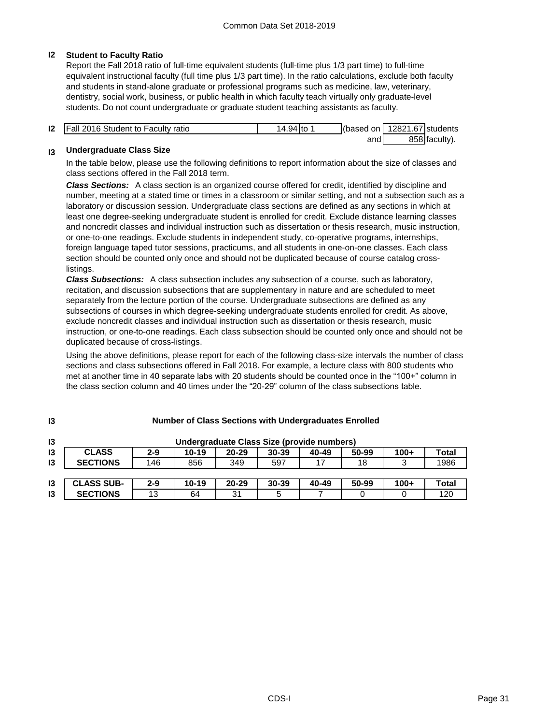#### **I2 Student to Faculty Ratio**

Report the Fall 2018 ratio of full-time equivalent students (full-time plus 1/3 part time) to full-time equivalent instructional faculty (full time plus 1/3 part time). In the ratio calculations, exclude both faculty and students in stand-alone graduate or professional programs such as medicine, law, veterinary, dentistry, social work, business, or public health in which faculty teach virtually only graduate-level students. Do not count undergraduate or graduate student teaching assistants as faculty.

| <b>12 Fall 2016 Student to Faculty ratio</b> | 14.94 Ito | (based on | 12821.67 students |               |
|----------------------------------------------|-----------|-----------|-------------------|---------------|
|                                              |           | and       |                   | 858 faculty). |

#### **I3 Undergraduate Class Size**

**I3**

In the table below, please use the following definitions to report information about the size of classes and class sections offered in the Fall 2018 term.

*Class Sections:* A class section is an organized course offered for credit, identified by discipline and number, meeting at a stated time or times in a classroom or similar setting, and not a subsection such as a laboratory or discussion session. Undergraduate class sections are defined as any sections in which at least one degree-seeking undergraduate student is enrolled for credit. Exclude distance learning classes and noncredit classes and individual instruction such as dissertation or thesis research, music instruction, or one-to-one readings. Exclude students in independent study, co-operative programs, internships, foreign language taped tutor sessions, practicums, and all students in one-on-one classes. Each class section should be counted only once and should not be duplicated because of course catalog crosslistings.

*Class Subsections:* A class subsection includes any subsection of a course, such as laboratory, recitation, and discussion subsections that are supplementary in nature and are scheduled to meet separately from the lecture portion of the course. Undergraduate subsections are defined as any subsections of courses in which degree-seeking undergraduate students enrolled for credit. As above, exclude noncredit classes and individual instruction such as dissertation or thesis research, music instruction, or one-to-one readings. Each class subsection should be counted only once and should not be duplicated because of cross-listings.

Using the above definitions, please report for each of the following class-size intervals the number of class sections and class subsections offered in Fall 2018. For example, a lecture class with 800 students who met at another time in 40 separate labs with 20 students should be counted once in the "100+" column in the class section column and 40 times under the "20-29" column of the class subsections table.

| $\mathbf{13}$ |                   |         |       |           | Undergraduate Class Size (provide numbers) |       |       |        |       |
|---------------|-------------------|---------|-------|-----------|--------------------------------------------|-------|-------|--------|-------|
| 13            | <b>CLASS</b>      | 2-9     | 10-19 | $20 - 29$ | $30 - 39$                                  | 40-49 | 50-99 | $100+$ | Total |
| 13            | <b>SECTIONS</b>   | 146     | 856   | 349       | 597                                        | 17    | 18    |        | 1986  |
|               |                   |         |       |           |                                            |       |       |        |       |
| $\mathsf{I}3$ | <b>CLASS SUB-</b> | $2 - 9$ | 10-19 | $20 - 29$ | $30 - 39$                                  | 40-49 | 50-99 | $100+$ | Total |
| $\mathsf{I}3$ | <b>SECTIONS</b>   | 13      | 64    | 31        | 5                                          |       |       |        | 120   |

#### **Number of Class Sections with Undergraduates Enrolled**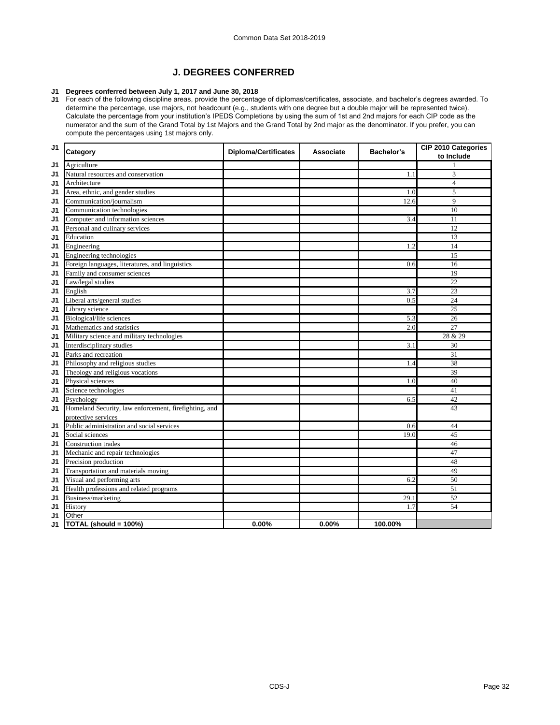# **J. DEGREES CONFERRED**

#### **J1 Degrees conferred between July 1, 2017 and June 30, 2018**

**J1** For each of the following discipline areas, provide the percentage of diplomas/certificates, associate, and bachelor's degrees awarded. To determine the percentage, use majors, not headcount (e.g., students with one degree but a double major will be represented twice). Calculate the percentage from your institution's IPEDS Completions by using the sum of 1st and 2nd majors for each CIP code as the numerator and the sum of the Grand Total by 1st Majors and the Grand Total by 2nd major as the denominator. If you prefer, you can compute the percentages using 1st majors only.

| J <sub>1</sub> | Category                                              | <b>Diploma/Certificates</b> | <b>Associate</b> | Bachelor's | CIP 2010 Categories<br>to Include |
|----------------|-------------------------------------------------------|-----------------------------|------------------|------------|-----------------------------------|
| J1             | Agriculture                                           |                             |                  |            |                                   |
| J1             | Natural resources and conservation                    |                             |                  | 1.1        | 3                                 |
| J1             | Architecture                                          |                             |                  |            | $\overline{4}$                    |
| J1             | Area, ethnic, and gender studies                      |                             |                  | 1.0        | 5                                 |
| J1             | Communication/journalism                              |                             |                  | 12.6       | 9                                 |
| J1             | Communication technologies                            |                             |                  |            | 10                                |
| J1             | Computer and information sciences                     |                             |                  | 3.4        | 11                                |
| J1             | Personal and culinary services                        |                             |                  |            | 12                                |
| J1             | Education                                             |                             |                  |            | 13                                |
| J1             | Engineering                                           |                             |                  | 1.2        | 14                                |
| J1             | Engineering technologies                              |                             |                  |            | 15                                |
| J1             | Foreign languages, literatures, and linguistics       |                             |                  | 0.6        | 16                                |
| J1             | Family and consumer sciences                          |                             |                  |            | 19                                |
| J1             | Law/legal studies                                     |                             |                  |            | $\overline{22}$                   |
| J1             | English                                               |                             |                  | 3.7        | 23                                |
| J1             | Liberal arts/general studies                          |                             |                  | 0.5        | 24                                |
| J1             | Library science                                       |                             |                  |            | $\overline{25}$                   |
| J1             | <b>Biological/life sciences</b>                       |                             |                  | 5.3        | 26                                |
| J1             | Mathematics and statistics                            |                             |                  | 2.0        | $\overline{27}$                   |
| J1             | Military science and military technologies            |                             |                  |            | 28 & 29                           |
| J1             | Interdisciplinary studies                             |                             |                  | 3.1        | 30                                |
| J1             | Parks and recreation                                  |                             |                  |            | 31                                |
| J1             | Philosophy and religious studies                      |                             |                  | 1.4        | 38                                |
| J1             | Theology and religious vocations                      |                             |                  |            | 39                                |
| J1             | Physical sciences                                     |                             |                  | 1.0        | 40                                |
| J1             | Science technologies                                  |                             |                  |            | 41                                |
| J1             | Psychology                                            |                             |                  | 6.5        | 42                                |
| J1             | Homeland Security, law enforcement, firefighting, and |                             |                  |            | 43                                |
|                | protective services                                   |                             |                  |            |                                   |
| J1             | Public administration and social services             |                             |                  | 0.6        | 44                                |
| J1             | Social sciences                                       |                             |                  | 19.0       | 45                                |
| J1             | Construction trades                                   |                             |                  |            | 46                                |
| J1             | Mechanic and repair technologies                      |                             |                  |            | 47                                |
| J1             | Precision production                                  |                             |                  |            | 48                                |
| J1             | Transportation and materials moving                   |                             |                  |            | 49                                |
| J1             | Visual and performing arts                            |                             |                  | 6.2        | 50                                |
| J1             | Health professions and related programs               |                             |                  |            | 51                                |
| J1             | Business/marketing                                    |                             |                  | 29.1       | 52                                |
| J1             | History                                               |                             |                  | 1.7        | 54                                |
| J1             | Other                                                 |                             |                  |            |                                   |
| J1             | TOTAL (should = 100%)                                 | 0.00%                       | 0.00%            | 100.00%    |                                   |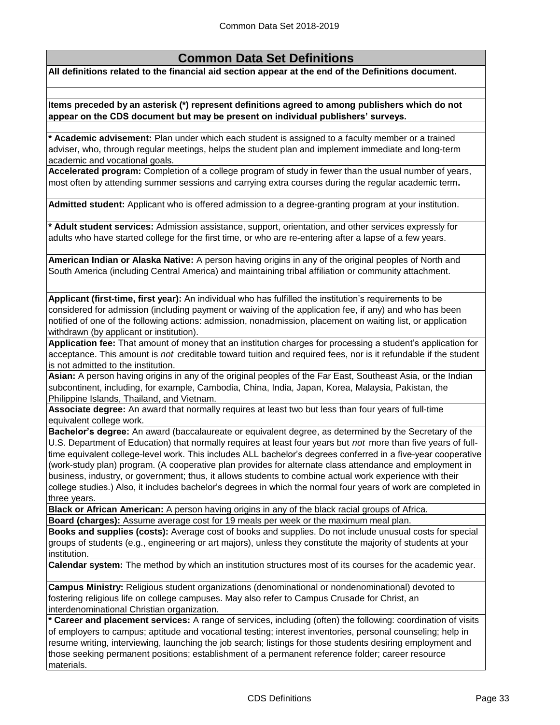# **Common Data Set Definitions**

**All definitions related to the financial aid section appear at the end of the Definitions document.**

**Items preceded by an asterisk (\*) represent definitions agreed to among publishers which do not appear on the CDS document but may be present on individual publishers' surveys.** 

**\* Academic advisement:** Plan under which each student is assigned to a faculty member or a trained adviser, who, through regular meetings, helps the student plan and implement immediate and long-term academic and vocational goals.

**Accelerated program:** Completion of a college program of study in fewer than the usual number of years, most often by attending summer sessions and carrying extra courses during the regular academic term**.**

**Admitted student:** Applicant who is offered admission to a degree-granting program at your institution.

**\* Adult student services:** Admission assistance, support, orientation, and other services expressly for adults who have started college for the first time, or who are re-entering after a lapse of a few years.

**American Indian or Alaska Native:** A person having origins in any of the original peoples of North and South America (including Central America) and maintaining tribal affiliation or community attachment.

**Applicant (first-time, first year):** An individual who has fulfilled the institution's requirements to be considered for admission (including payment or waiving of the application fee, if any) and who has been notified of one of the following actions: admission, nonadmission, placement on waiting list, or application withdrawn (by applicant or institution).

**Application fee:** That amount of money that an institution charges for processing a student's application for acceptance. This amount is *not* creditable toward tuition and required fees, nor is it refundable if the student is not admitted to the institution.

**Asian:** A person having origins in any of the original peoples of the Far East, Southeast Asia, or the Indian subcontinent, including, for example, Cambodia, China, India, Japan, Korea, Malaysia, Pakistan, the Philippine Islands, Thailand, and Vietnam.

**Associate degree:** An award that normally requires at least two but less than four years of full-time equivalent college work.

**Bachelor's degree:** An award (baccalaureate or equivalent degree, as determined by the Secretary of the U.S. Department of Education) that normally requires at least four years but *not* more than five years of fulltime equivalent college-level work. This includes ALL bachelor's degrees conferred in a five-year cooperative (work-study plan) program. (A cooperative plan provides for alternate class attendance and employment in business, industry, or government; thus, it allows students to combine actual work experience with their college studies.) Also, it includes bachelor's degrees in which the normal four years of work are completed in three years.

**Black or African American:** A person having origins in any of the black racial groups of Africa.

**Board (charges):** Assume average cost for 19 meals per week or the maximum meal plan.

**Books and supplies (costs):** Average cost of books and supplies. Do not include unusual costs for special groups of students (e.g., engineering or art majors), unless they constitute the majority of students at your institution.

**Calendar system:** The method by which an institution structures most of its courses for the academic year.

**Campus Ministry:** Religious student organizations (denominational or nondenominational) devoted to fostering religious life on college campuses. May also refer to Campus Crusade for Christ, an interdenominational Christian organization.

**\* Career and placement services:** A range of services, including (often) the following: coordination of visits of employers to campus; aptitude and vocational testing; interest inventories, personal counseling; help in resume writing, interviewing, launching the job search; listings for those students desiring employment and those seeking permanent positions; establishment of a permanent reference folder; career resource materials.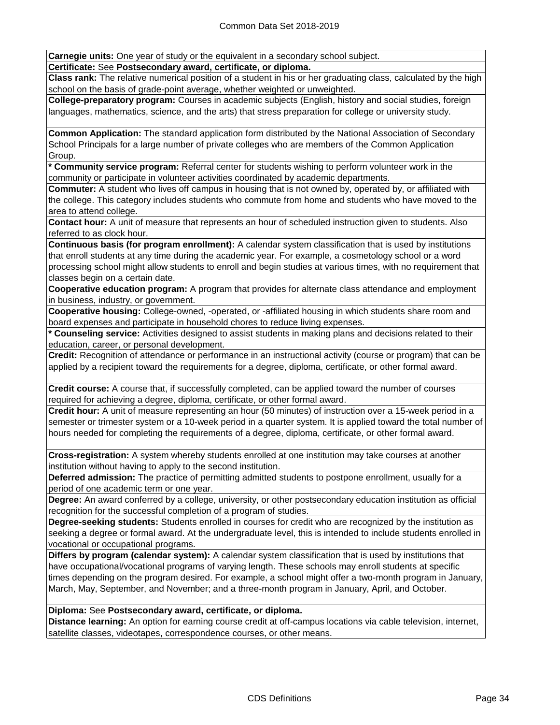**Carnegie units:** One year of study or the equivalent in a secondary school subject.

**Certificate:** See **Postsecondary award, certificate, or diploma.**

**Class rank:** The relative numerical position of a student in his or her graduating class, calculated by the high school on the basis of grade-point average, whether weighted or unweighted.

**College-preparatory program:** Courses in academic subjects (English, history and social studies, foreign languages, mathematics, science, and the arts) that stress preparation for college or university study.

**Common Application:** The standard application form distributed by the National Association of Secondary School Principals for a large number of private colleges who are members of the Common Application Group.

**\* Community service program:** Referral center for students wishing to perform volunteer work in the community or participate in volunteer activities coordinated by academic departments.

**Commuter:** A student who lives off campus in housing that is not owned by, operated by, or affiliated with the college. This category includes students who commute from home and students who have moved to the area to attend college.

**Contact hour:** A unit of measure that represents an hour of scheduled instruction given to students. Also referred to as clock hour.

**Continuous basis (for program enrollment):** A calendar system classification that is used by institutions that enroll students at any time during the academic year. For example, a cosmetology school or a word processing school might allow students to enroll and begin studies at various times, with no requirement that classes begin on a certain date.

**Cooperative education program:** A program that provides for alternate class attendance and employment in business, industry, or government.

**Cooperative housing:** College-owned, -operated, or -affiliated housing in which students share room and board expenses and participate in household chores to reduce living expenses.

**\* Counseling service:** Activities designed to assist students in making plans and decisions related to their education, career, or personal development.

**Credit:** Recognition of attendance or performance in an instructional activity (course or program) that can be applied by a recipient toward the requirements for a degree, diploma, certificate, or other formal award.

**Credit course:** A course that, if successfully completed, can be applied toward the number of courses required for achieving a degree, diploma, certificate, or other formal award.

**Credit hour:** A unit of measure representing an hour (50 minutes) of instruction over a 15-week period in a semester or trimester system or a 10-week period in a quarter system. It is applied toward the total number of hours needed for completing the requirements of a degree, diploma, certificate, or other formal award.

**Cross-registration:** A system whereby students enrolled at one institution may take courses at another institution without having to apply to the second institution.

**Deferred admission:** The practice of permitting admitted students to postpone enrollment, usually for a period of one academic term or one year.

**Degree:** An award conferred by a college, university, or other postsecondary education institution as official recognition for the successful completion of a program of studies.

**Degree-seeking students:** Students enrolled in courses for credit who are recognized by the institution as seeking a degree or formal award. At the undergraduate level, this is intended to include students enrolled in vocational or occupational programs.

**Differs by program (calendar system):** A calendar system classification that is used by institutions that have occupational/vocational programs of varying length. These schools may enroll students at specific times depending on the program desired. For example, a school might offer a two-month program in January, March, May, September, and November; and a three-month program in January, April, and October.

## **Diploma:** See **Postsecondary award, certificate, or diploma.**

**Distance learning:** An option for earning course credit at off-campus locations via cable television, internet, satellite classes, videotapes, correspondence courses, or other means.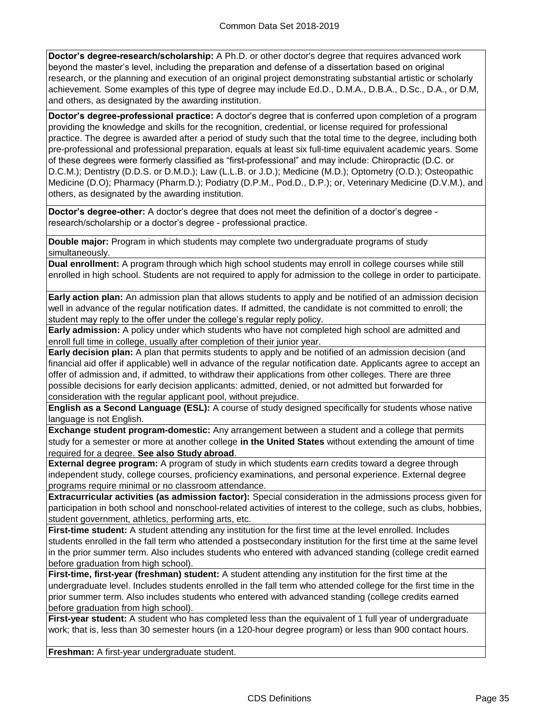**Doctor's degree-research/scholarship:** A Ph.D. or other doctor's degree that requires advanced work beyond the master's level, including the preparation and defense of a dissertation based on original research, or the planning and execution of an original project demonstrating substantial artistic or scholarly achievement. Some examples of this type of degree may include Ed.D., D.M.A., D.B.A., D.Sc., D.A., or D.M, and others, as designated by the awarding institution.

**Doctor's degree-professional practice:** A doctor's degree that is conferred upon completion of a program providing the knowledge and skills for the recognition, credential, or license required for professional practice. The degree is awarded after a period of study such that the total time to the degree, including both pre-professional and professional preparation, equals at least six full-time equivalent academic years. Some of these degrees were formerly classified as "first-professional" and may include: Chiropractic (D.C. or D.C.M.); Dentistry (D.D.S. or D.M.D.); Law (L.L.B. or J.D.); Medicine (M.D.); Optometry (O.D.); Osteopathic Medicine (D.O); Pharmacy (Pharm.D.); Podiatry (D.P.M., Pod.D., D.P.); or, Veterinary Medicine (D.V.M.), and others, as designated by the awarding institution.

**Doctor's degree-other:** A doctor's degree that does not meet the definition of a doctor's degree research/scholarship or a doctor's degree - professional practice.

**Double major:** Program in which students may complete two undergraduate programs of study simultaneously.

**Dual enrollment:** A program through which high school students may enroll in college courses while still enrolled in high school. Students are not required to apply for admission to the college in order to participate.

**Early action plan:** An admission plan that allows students to apply and be notified of an admission decision well in advance of the regular notification dates. If admitted, the candidate is not committed to enroll; the student may reply to the offer under the college's regular reply policy.

**Early admission:** A policy under which students who have not completed high school are admitted and enroll full time in college, usually after completion of their junior year.

**Early decision plan:** A plan that permits students to apply and be notified of an admission decision (and financial aid offer if applicable) well in advance of the regular notification date. Applicants agree to accept an offer of admission and, if admitted, to withdraw their applications from other colleges. There are three possible decisions for early decision applicants: admitted, denied, or not admitted but forwarded for consideration with the regular applicant pool, without prejudice.

**English as a Second Language (ESL):** A course of study designed specifically for students whose native language is not English.

**Exchange student program-domestic:** Any arrangement between a student and a college that permits study for a semester or more at another college **in the United States** without extending the amount of time required for a degree. **See also Study abroad**.

**External degree program:** A program of study in which students earn credits toward a degree through independent study, college courses, proficiency examinations, and personal experience. External degree programs require minimal or no classroom attendance.

**Extracurricular activities (as admission factor):** Special consideration in the admissions process given for participation in both school and nonschool-related activities of interest to the college, such as clubs, hobbies, student government, athletics, performing arts, etc.

**First-time student:** A student attending any institution for the first time at the level enrolled. Includes students enrolled in the fall term who attended a postsecondary institution for the first time at the same level in the prior summer term. Also includes students who entered with advanced standing (college credit earned before graduation from high school).

**First-time, first-year (freshman) student:** A student attending any institution for the first time at the undergraduate level. Includes students enrolled in the fall term who attended college for the first time in the prior summer term. Also includes students who entered with advanced standing (college credits earned before graduation from high school).

**First-year student:** A student who has completed less than the equivalent of 1 full year of undergraduate work; that is, less than 30 semester hours (in a 120-hour degree program) or less than 900 contact hours.

**Freshman:** A first-year undergraduate student.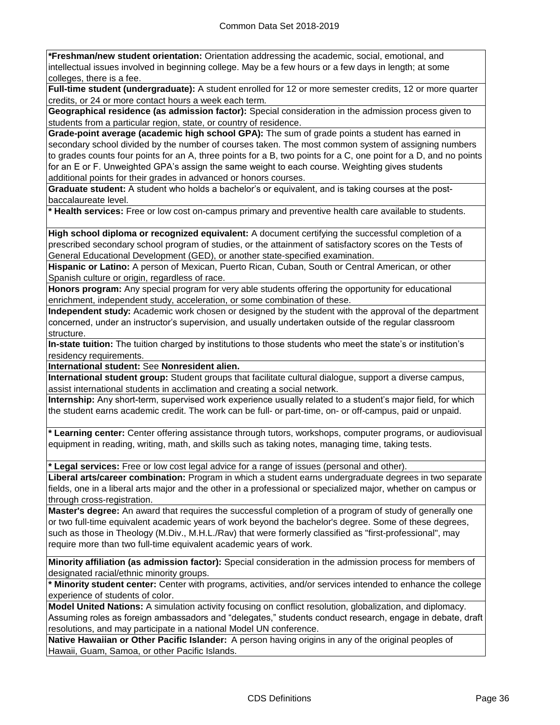**\*Freshman/new student orientation:** Orientation addressing the academic, social, emotional, and intellectual issues involved in beginning college. May be a few hours or a few days in length; at some colleges, there is a fee.

**Full-time student (undergraduate):** A student enrolled for 12 or more semester credits, 12 or more quarter credits, or 24 or more contact hours a week each term.

**Geographical residence (as admission factor):** Special consideration in the admission process given to students from a particular region, state, or country of residence.

**Grade-point average (academic high school GPA):** The sum of grade points a student has earned in secondary school divided by the number of courses taken. The most common system of assigning numbers to grades counts four points for an A, three points for a B, two points for a C, one point for a D, and no points for an E or F. Unweighted GPA's assign the same weight to each course. Weighting gives students additional points for their grades in advanced or honors courses.

**Graduate student:** A student who holds a bachelor's or equivalent, and is taking courses at the postbaccalaureate level.

**\* Health services:** Free or low cost on-campus primary and preventive health care available to students.

**High school diploma or recognized equivalent:** A document certifying the successful completion of a prescribed secondary school program of studies, or the attainment of satisfactory scores on the Tests of General Educational Development (GED), or another state-specified examination.

**Hispanic or Latino:** A person of Mexican, Puerto Rican, Cuban, South or Central American, or other Spanish culture or origin, regardless of race.

**Honors program:** Any special program for very able students offering the opportunity for educational enrichment, independent study, acceleration, or some combination of these.

**Independent study:** Academic work chosen or designed by the student with the approval of the department concerned, under an instructor's supervision, and usually undertaken outside of the regular classroom structure.

**In-state tuition:** The tuition charged by institutions to those students who meet the state's or institution's residency requirements.

**International student:** See **Nonresident alien.**

**International student group:** Student groups that facilitate cultural dialogue, support a diverse campus, assist international students in acclimation and creating a social network.

**Internship:** Any short-term, supervised work experience usually related to a student's major field, for which the student earns academic credit. The work can be full- or part-time, on- or off-campus, paid or unpaid.

**\* Learning center:** Center offering assistance through tutors, workshops, computer programs, or audiovisual equipment in reading, writing, math, and skills such as taking notes, managing time, taking tests.

**\* Legal services:** Free or low cost legal advice for a range of issues (personal and other).

**Liberal arts/career combination:** Program in which a student earns undergraduate degrees in two separate fields, one in a liberal arts major and the other in a professional or specialized major, whether on campus or through cross‑registration.

**Master's degree:** An award that requires the successful completion of a program of study of generally one or two full-time equivalent academic years of work beyond the bachelor's degree. Some of these degrees, such as those in Theology (M.Div., M.H.L./Rav) that were formerly classified as "first-professional", may require more than two full-time equivalent academic years of work.

**Minority affiliation (as admission factor):** Special consideration in the admission process for members of designated racial/ethnic minority groups.

**\* Minority student center:** Center with programs, activities, and/or services intended to enhance the college experience of students of color.

**Model United Nations:** A simulation activity focusing on conflict resolution, globalization, and diplomacy. Assuming roles as foreign ambassadors and "delegates," students conduct research, engage in debate, draft resolutions, and may participate in a national Model UN conference.

**Native Hawaiian or Other Pacific Islander:** A person having origins in any of the original peoples of Hawaii, Guam, Samoa, or other Pacific Islands.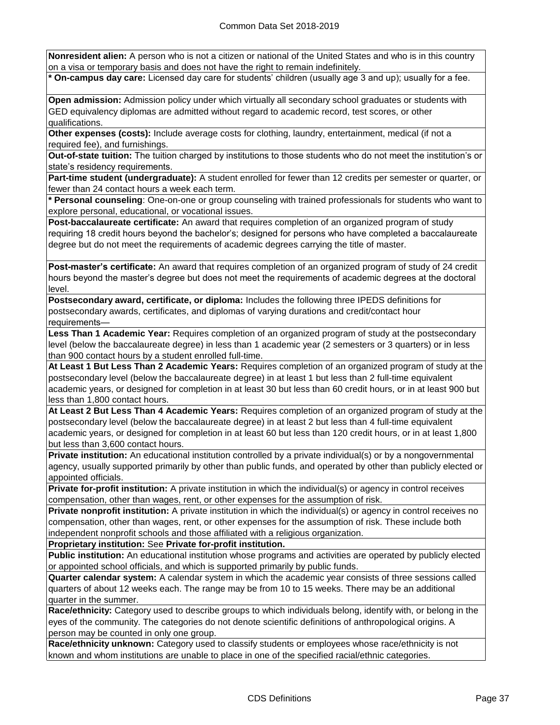**Nonresident alien:** A person who is not a citizen or national of the United States and who is in this country on a visa or temporary basis and does not have the right to remain indefinitely.

**\* On-campus day care:** Licensed day care for students' children (usually age 3 and up); usually for a fee.

**Open admission:** Admission policy under which virtually all secondary school graduates or students with GED equivalency diplomas are admitted without regard to academic record, test scores, or other qualifications.

**Other expenses (costs):** Include average costs for clothing, laundry, entertainment, medical (if not a required fee), and furnishings.

**Out-of-state tuition:** The tuition charged by institutions to those students who do not meet the institution's or state's residency requirements.

**Part-time student (undergraduate):** A student enrolled for fewer than 12 credits per semester or quarter, or fewer than 24 contact hours a week each term.

**\* Personal counseling**: One-on-one or group counseling with trained professionals for students who want to explore personal, educational, or vocational issues.

**Post-baccalaureate certificate:** An award that requires completion of an organized program of study requiring 18 credit hours beyond the bachelor's; designed for persons who have completed a baccalaureate degree but do not meet the requirements of academic degrees carrying the title of master.

**Post-master's certificate:** An award that requires completion of an organized program of study of 24 credit hours beyond the master's degree but does not meet the requirements of academic degrees at the doctoral level.

**Postsecondary award, certificate, or diploma:** Includes the following three IPEDS definitions for postsecondary awards, certificates, and diplomas of varying durations and credit/contact hour requirements—

**Less Than 1 Academic Year:** Requires completion of an organized program of study at the postsecondary level (below the baccalaureate degree) in less than 1 academic year (2 semesters or 3 quarters) or in less than 900 contact hours by a student enrolled full-time.

**At Least 1 But Less Than 2 Academic Years:** Requires completion of an organized program of study at the postsecondary level (below the baccalaureate degree) in at least 1 but less than 2 full-time equivalent academic years, or designed for completion in at least 30 but less than 60 credit hours, or in at least 900 but less than 1,800 contact hours.

**At Least 2 But Less Than 4 Academic Years:** Requires completion of an organized program of study at the postsecondary level (below the baccalaureate degree) in at least 2 but less than 4 full-time equivalent academic years, or designed for completion in at least 60 but less than 120 credit hours, or in at least 1,800 but less than 3,600 contact hours.

**Private institution:** An educational institution controlled by a private individual(s) or by a nongovernmental agency, usually supported primarily by other than public funds, and operated by other than publicly elected or appointed officials.

**Private for-profit institution:** A private institution in which the individual(s) or agency in control receives compensation, other than wages, rent, or other expenses for the assumption of risk.

**Private nonprofit institution:** A private institution in which the individual(s) or agency in control receives no compensation, other than wages, rent, or other expenses for the assumption of risk. These include both independent nonprofit schools and those affiliated with a religious organization.

**Proprietary institution:** See **Private for-profit institution.**

**Public institution:** An educational institution whose programs and activities are operated by publicly elected or appointed school officials, and which is supported primarily by public funds.

**Quarter calendar system:** A calendar system in which the academic year consists of three sessions called quarters of about 12 weeks each. The range may be from 10 to 15 weeks. There may be an additional quarter in the summer.

**Race/ethnicity:** Category used to describe groups to which individuals belong, identify with, or belong in the eyes of the community. The categories do not denote scientific definitions of anthropological origins. A person may be counted in only one group.

**Race/ethnicity unknown:** Category used to classify students or employees whose race/ethnicity is not known and whom institutions are unable to place in one of the specified racial/ethnic categories.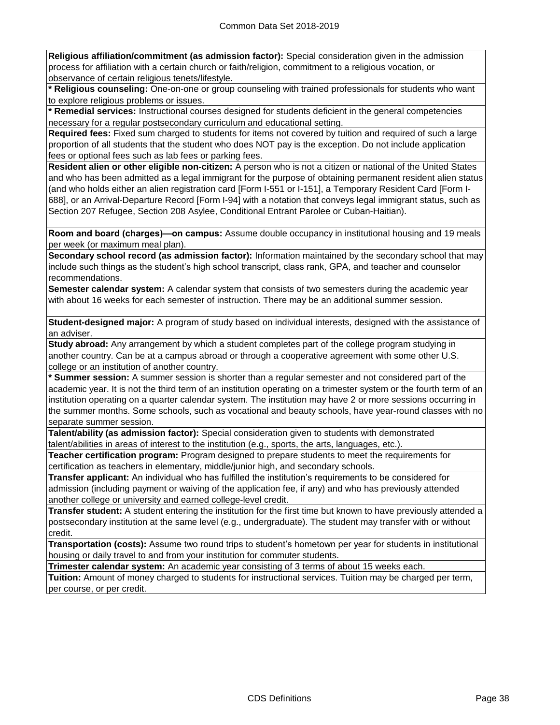**Religious affiliation/commitment (as admission factor):** Special consideration given in the admission process for affiliation with a certain church or faith/religion, commitment to a religious vocation, or observance of certain religious tenets/lifestyle.

**\* Religious counseling:** One-on-one or group counseling with trained professionals for students who want to explore religious problems or issues.

**\* Remedial services:** Instructional courses designed for students deficient in the general competencies necessary for a regular postsecondary curriculum and educational setting.

**Required fees:** Fixed sum charged to students for items not covered by tuition and required of such a large proportion of all students that the student who does NOT pay is the exception. Do not include application fees or optional fees such as lab fees or parking fees.

**Resident alien or other eligible non-citizen:** A person who is not a citizen or national of the United States and who has been admitted as a legal immigrant for the purpose of obtaining permanent resident alien status (and who holds either an alien registration card [Form I-551 or I-151], a Temporary Resident Card [Form I-688], or an Arrival-Departure Record [Form I-94] with a notation that conveys legal immigrant status, such as Section 207 Refugee, Section 208 Asylee, Conditional Entrant Parolee or Cuban-Haitian).

**Room and board (charges)—on campus:** Assume double occupancy in institutional housing and 19 meals per week (or maximum meal plan).

**Secondary school record (as admission factor):** Information maintained by the secondary school that may include such things as the student's high school transcript, class rank, GPA, and teacher and counselor recommendations.

**Semester calendar system:** A calendar system that consists of two semesters during the academic year with about 16 weeks for each semester of instruction. There may be an additional summer session.

**Student-designed major:** A program of study based on individual interests, designed with the assistance of an adviser.

**Study abroad:** Any arrangement by which a student completes part of the college program studying in another country. Can be at a campus abroad or through a cooperative agreement with some other U.S. college or an institution of another country.

**\* Summer session:** A summer session is shorter than a regular semester and not considered part of the academic year. It is not the third term of an institution operating on a trimester system or the fourth term of an institution operating on a quarter calendar system. The institution may have 2 or more sessions occurring in the summer months. Some schools, such as vocational and beauty schools, have year-round classes with no separate summer session.

**Talent/ability (as admission factor):** Special consideration given to students with demonstrated talent/abilities in areas of interest to the institution (e.g., sports, the arts, languages, etc.).

**Teacher certification program:** Program designed to prepare students to meet the requirements for certification as teachers in elementary, middle/junior high, and secondary schools.

**Transfer applicant:** An individual who has fulfilled the institution's requirements to be considered for admission (including payment or waiving of the application fee, if any) and who has previously attended another college or university and earned college-level credit.

**Transfer student:** A student entering the institution for the first time but known to have previously attended a postsecondary institution at the same level (e.g., undergraduate). The student may transfer with or without credit.

**Transportation (costs):** Assume two round trips to student's hometown per year for students in institutional housing or daily travel to and from your institution for commuter students.

**Trimester calendar system:** An academic year consisting of 3 terms of about 15 weeks each.

**Tuition:** Amount of money charged to students for instructional services. Tuition may be charged per term, per course, or per credit.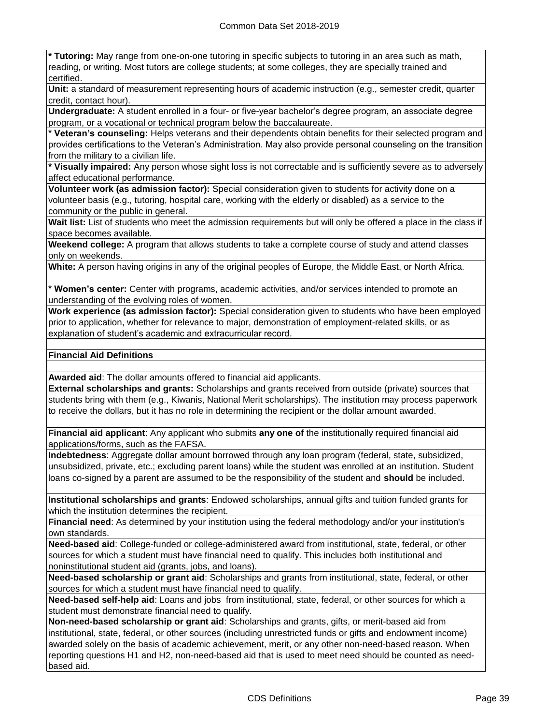**\* Tutoring:** May range from one-on-one tutoring in specific subjects to tutoring in an area such as math, reading, or writing. Most tutors are college students; at some colleges, they are specially trained and certified.

**Unit:** a standard of measurement representing hours of academic instruction (e.g., semester credit, quarter credit, contact hour).

**Undergraduate:** A student enrolled in a four- or five-year bachelor's degree program, an associate degree program, or a vocational or technical program below the baccalaureate.

**\* Veteran's counseling:** Helps veterans and their dependents obtain benefits for their selected program and provides certifications to the Veteran's Administration. May also provide personal counseling on the transition from the military to a civilian life.

**\* Visually impaired:** Any person whose sight loss is not correctable and is sufficiently severe as to adversely affect educational performance.

**Volunteer work (as admission factor):** Special consideration given to students for activity done on a volunteer basis (e.g., tutoring, hospital care, working with the elderly or disabled) as a service to the community or the public in general.

**Wait list:** List of students who meet the admission requirements but will only be offered a place in the class if space becomes available.

**Weekend college:** A program that allows students to take a complete course of study and attend classes only on weekends.

**White:** A person having origins in any of the original peoples of Europe, the Middle East, or North Africa.

**\* Women's center:** Center with programs, academic activities, and/or services intended to promote an understanding of the evolving roles of women.

**Work experience (as admission factor):** Special consideration given to students who have been employed prior to application, whether for relevance to major, demonstration of employment-related skills, or as explanation of student's academic and extracurricular record.

## **Financial Aid Definitions**

**Awarded aid**: The dollar amounts offered to financial aid applicants.

**External scholarships and grants:** Scholarships and grants received from outside (private) sources that students bring with them (e.g., Kiwanis, National Merit scholarships). The institution may process paperwork to receive the dollars, but it has no role in determining the recipient or the dollar amount awarded.

**Financial aid applicant**: Any applicant who submits **any one of** the institutionally required financial aid applications/forms, such as the FAFSA.

**Indebtedness**: Aggregate dollar amount borrowed through any loan program (federal, state, subsidized, unsubsidized, private, etc.; excluding parent loans) while the student was enrolled at an institution. Student loans co-signed by a parent are assumed to be the responsibility of the student and **should** be included.

**Institutional scholarships and grants**: Endowed scholarships, annual gifts and tuition funded grants for which the institution determines the recipient.

**Financial need**: As determined by your institution using the federal methodology and/or your institution's own standards.

**Need-based aid**: College-funded or college-administered award from institutional, state, federal, or other sources for which a student must have financial need to qualify. This includes both institutional and noninstitutional student aid (grants, jobs, and loans).

**Need-based scholarship or grant aid**: Scholarships and grants from institutional, state, federal, or other sources for which a student must have financial need to qualify.

**Need-based self-help aid**: Loans and jobs from institutional, state, federal, or other sources for which a student must demonstrate financial need to qualify.

**Non-need-based scholarship or grant aid**: Scholarships and grants, gifts, or merit-based aid from institutional, state, federal, or other sources (including unrestricted funds or gifts and endowment income) awarded solely on the basis of academic achievement, merit, or any other non-need-based reason. When reporting questions H1 and H2, non-need-based aid that is used to meet need should be counted as needbased aid.